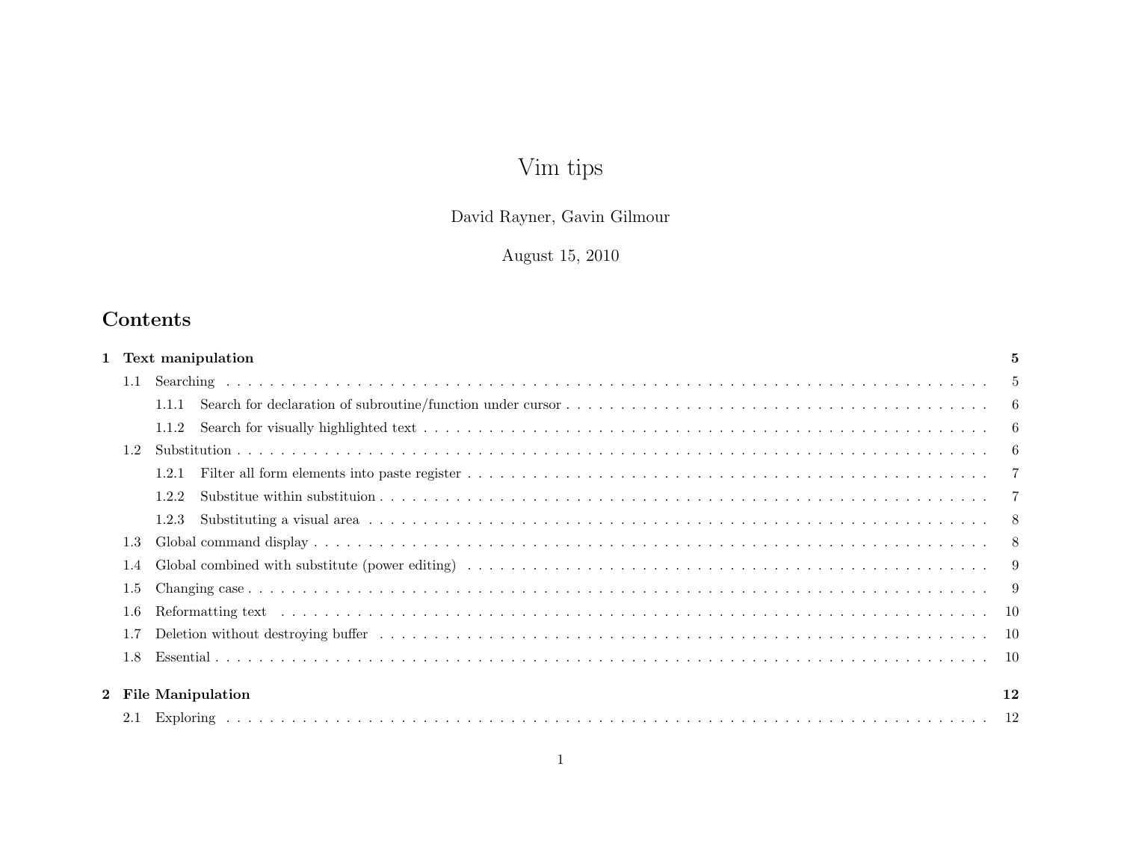# Vim tips

# David Rayner, Gavin Gilmour

August 15, 2010

# Contents

|                  | 1 Text manipulation | 5  |
|------------------|---------------------|----|
| 1.1              |                     |    |
|                  | 1.1.1               |    |
|                  | 1.1.2               |    |
| 1.2              |                     |    |
|                  | 1.2.1               |    |
|                  |                     |    |
|                  | 1.2.3               |    |
| 1.3              |                     |    |
| $1.4\phantom{0}$ |                     |    |
| 1.5              |                     |    |
| $1.6\,$          |                     |    |
| 1.7              |                     |    |
| 1.8              |                     |    |
|                  | 2 File Manipulation | 12 |
|                  |                     |    |
|                  |                     |    |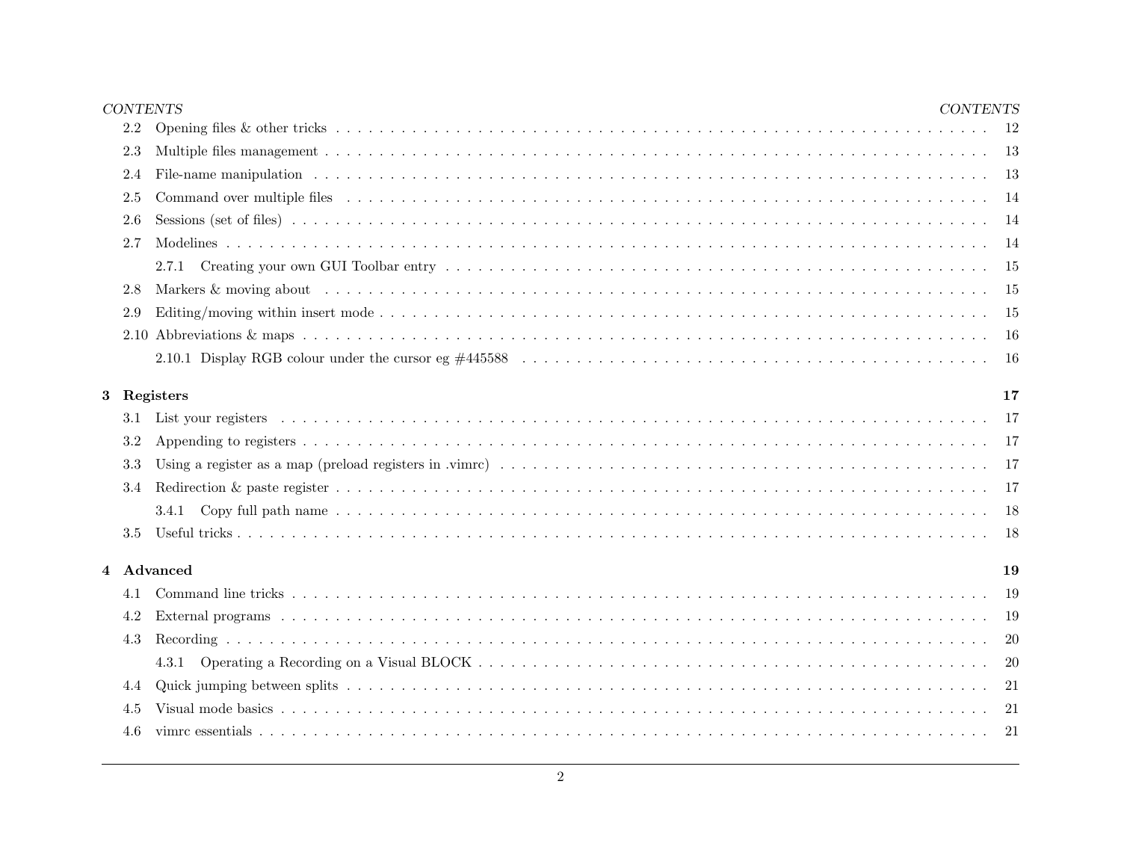|         | <b>CONTENTS</b><br><b>CONTENTS</b>                                                                                                                                                                                             |      |
|---------|--------------------------------------------------------------------------------------------------------------------------------------------------------------------------------------------------------------------------------|------|
| 2.2     |                                                                                                                                                                                                                                | - 12 |
| 2.3     |                                                                                                                                                                                                                                |      |
| 2.4     |                                                                                                                                                                                                                                |      |
| 2.5     |                                                                                                                                                                                                                                |      |
| 2.6     |                                                                                                                                                                                                                                |      |
| 2.7     |                                                                                                                                                                                                                                |      |
|         |                                                                                                                                                                                                                                |      |
| 2.8     |                                                                                                                                                                                                                                |      |
| $2.9\,$ |                                                                                                                                                                                                                                |      |
|         |                                                                                                                                                                                                                                |      |
|         |                                                                                                                                                                                                                                |      |
|         | 3 Registers                                                                                                                                                                                                                    | 17   |
| 3.1     | List your registers enterpreteration of the contract of the contract of the contract of the contract of the contract of the contract of the contract of the contract of the contract of the contract of the contract of the co |      |
| 3.2     |                                                                                                                                                                                                                                |      |
| 3.3     |                                                                                                                                                                                                                                |      |
| 3.4     |                                                                                                                                                                                                                                |      |
|         | 3.4.1                                                                                                                                                                                                                          |      |
| 3.5     |                                                                                                                                                                                                                                |      |
|         | 4 Advanced                                                                                                                                                                                                                     | 19   |
| 4.1     |                                                                                                                                                                                                                                |      |
| 4.2     |                                                                                                                                                                                                                                |      |
| 4.3     |                                                                                                                                                                                                                                |      |
|         |                                                                                                                                                                                                                                |      |
| 4.4     |                                                                                                                                                                                                                                |      |
| 4.5     |                                                                                                                                                                                                                                |      |
| 4.6     |                                                                                                                                                                                                                                |      |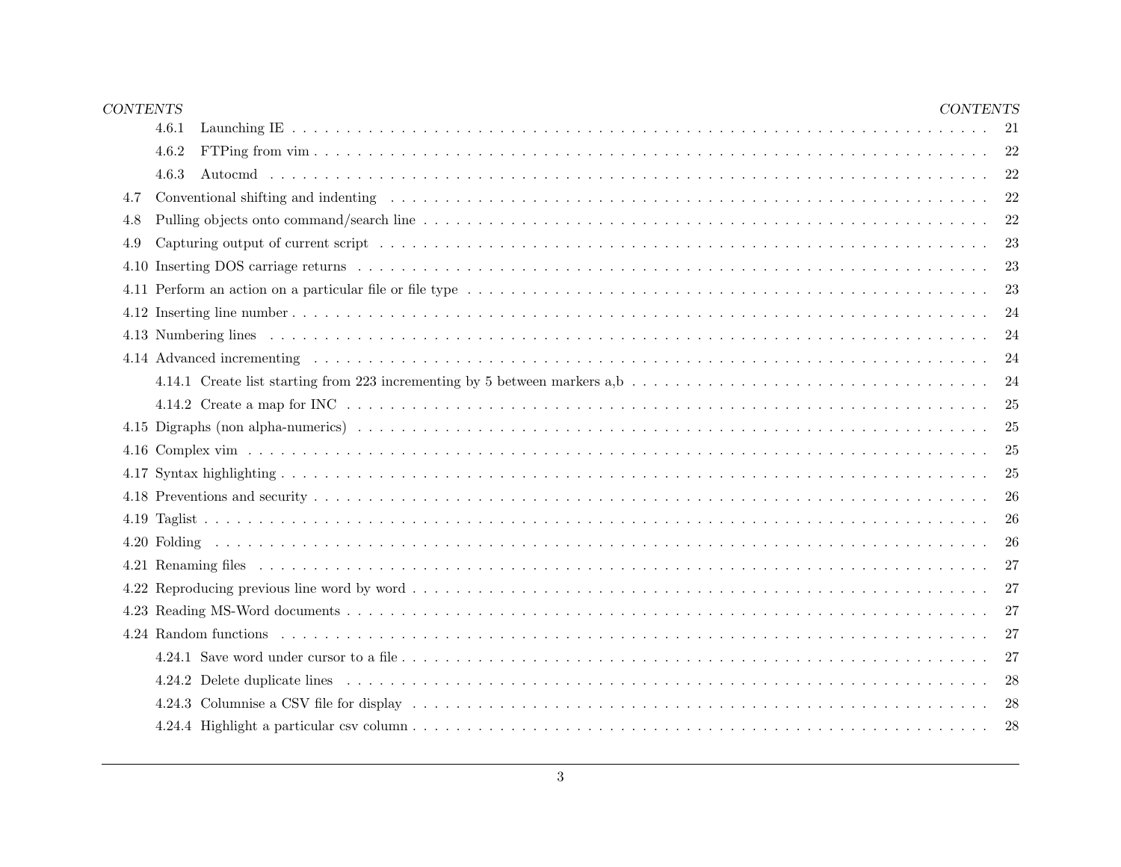| <b>CONTENTS</b> |                                                                             | <b>CONTENTS</b> |
|-----------------|-----------------------------------------------------------------------------|-----------------|
|                 | 4.6.1                                                                       | -21             |
|                 | 4.6.2                                                                       |                 |
|                 | 4.6.3                                                                       | 22              |
| 4.7             | Conventional shifting and indenting respectively respectively respectively. | -22             |
| 4.8             |                                                                             | 22              |
| 4.9             |                                                                             | 23              |
|                 |                                                                             | 23              |
|                 |                                                                             | 23              |
|                 |                                                                             | 24              |
|                 |                                                                             | 24              |
|                 |                                                                             | 24              |
|                 |                                                                             | 24              |
|                 |                                                                             | 25              |
|                 |                                                                             | 25              |
|                 |                                                                             | -25             |
|                 |                                                                             | 25              |
|                 |                                                                             | -26             |
|                 |                                                                             | 26              |
|                 |                                                                             | 26              |
|                 |                                                                             | -27             |
|                 |                                                                             | 27              |
|                 |                                                                             | - 27            |
|                 |                                                                             | - 27            |
|                 |                                                                             | 27              |
|                 |                                                                             |                 |
|                 |                                                                             | 28              |
|                 |                                                                             | 28              |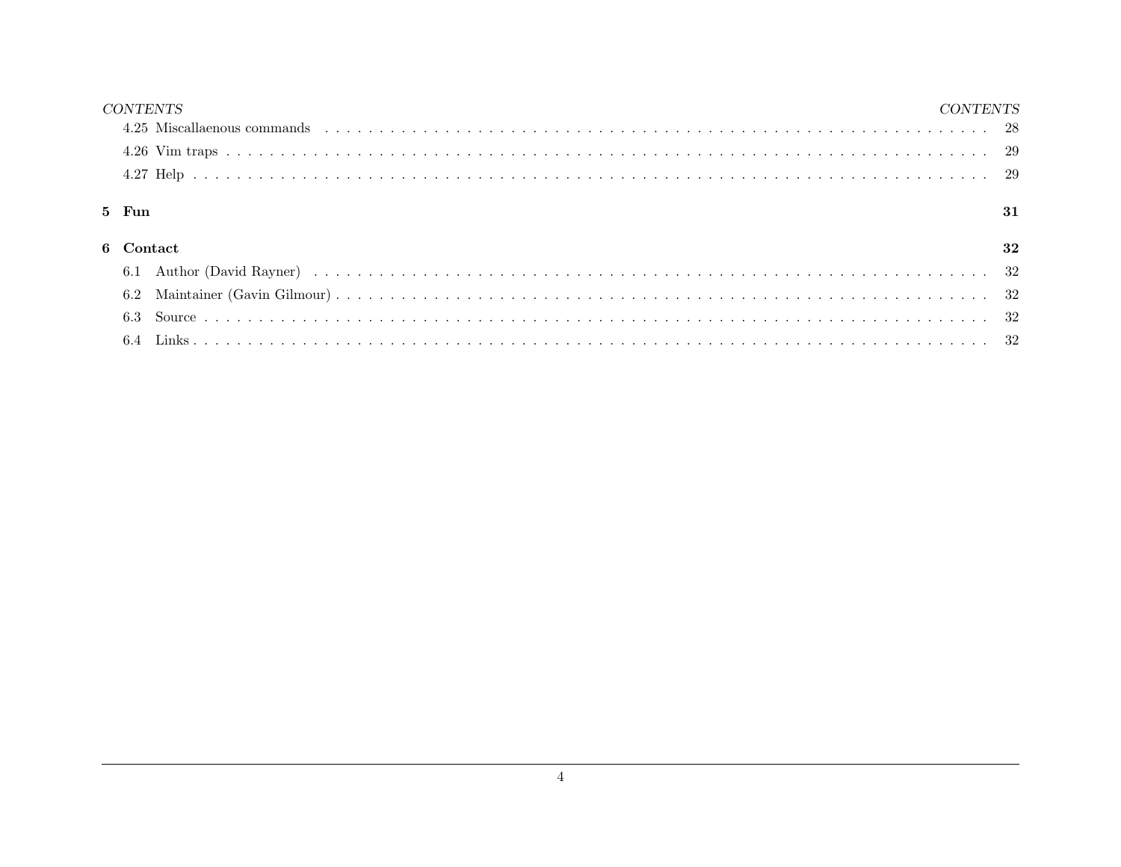|       | <b>CONTENTS</b> |    |
|-------|-----------------|----|
|       |                 |    |
|       |                 |    |
|       |                 |    |
| 5 Fun |                 | 31 |
|       | 6 Contact       | 32 |
|       |                 |    |
|       |                 |    |
|       |                 |    |
|       |                 |    |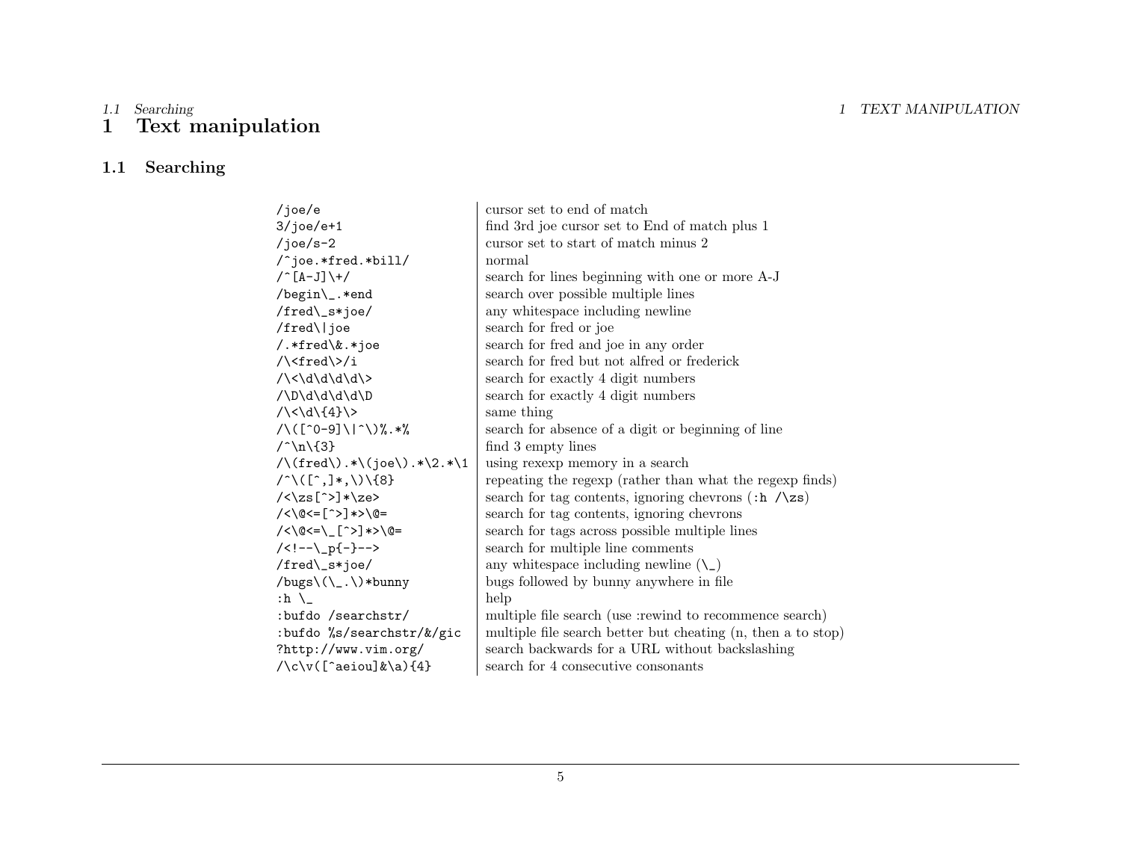## <span id="page-4-0"></span>1 Text manipulation

# <span id="page-4-1"></span>1.1 Searching

| /joe/e                                                       | cursor set to end of match                                   |
|--------------------------------------------------------------|--------------------------------------------------------------|
| $3/joe/e+1$                                                  | find 3rd joe cursor set to End of match plus 1               |
| /joe/s-2                                                     | cursor set to start of match minus 2                         |
| /^joe.*fred.*bill/                                           | normal                                                       |
| /^[A-J]\+/                                                   | search for lines beginning with one or more A-J              |
| /begin\_.*end                                                | search over possible multiple lines                          |
| /fred\_s*joe/                                                | any white space including newline                            |
| /fred\ joe                                                   | search for fred or joe                                       |
| /.*fred\&.*joe                                               | search for fred and joe in any order                         |
| /\ <fred\>/i</fred\>                                         | search for fred but not alfred or frederick                  |
| /\<\d\d\d\d\>                                                | search for exactly 4 digit numbers                           |
| /\D\d\d\d\d\D                                                | search for exactly 4 digit numbers                           |
| /\<\d\{4}\>                                                  | same thing                                                   |
| /\([^0-9]\ ^\)%.*%                                           | search for absence of a digit or beginning of line           |
| /^\n\{3}                                                     | find 3 empty lines                                           |
| $\wedge$ (fred\).*\(joe\).*\2.*\1                            | using rexexp memory in a search                              |
| /^\([^,]*,\)\{8}                                             | repeating the regexp (rather than what the regexp finds)     |
| /<\zs[^>]*\ze>                                               | search for tag contents, ignoring chevrons $(:h / \zeta s)$  |
| /<\@<=[^>]*>\@=                                              | search for tag contents, ignoring chevrons                   |
| /<\@<=\_[^>]*>\@=                                            | search for tags across possible multiple lines               |
| / \_p{-}                                                     | search for multiple line comments                            |
| /fred\_s*joe/                                                | any whitespace including newline $(\mathcal{L})$             |
| $\frac{\log s}{\lambda}$ . $\frac{\lambda}{\lambda}$ * bunny | bugs followed by bunny anywhere in file                      |
| :h \                                                         | help                                                         |
| :bufdo /searchstr/                                           | multiple file search (use : rewind to recommence search)     |
| :bufdo %s/searchstr/&/gic                                    | multiple file search better but cheating (n, then a to stop) |
| ?http://www.vim.org/                                         | search backwards for a URL without backslashing              |
| /\c\v([^aeiou]&\a){4}                                        | search for 4 consecutive consonants                          |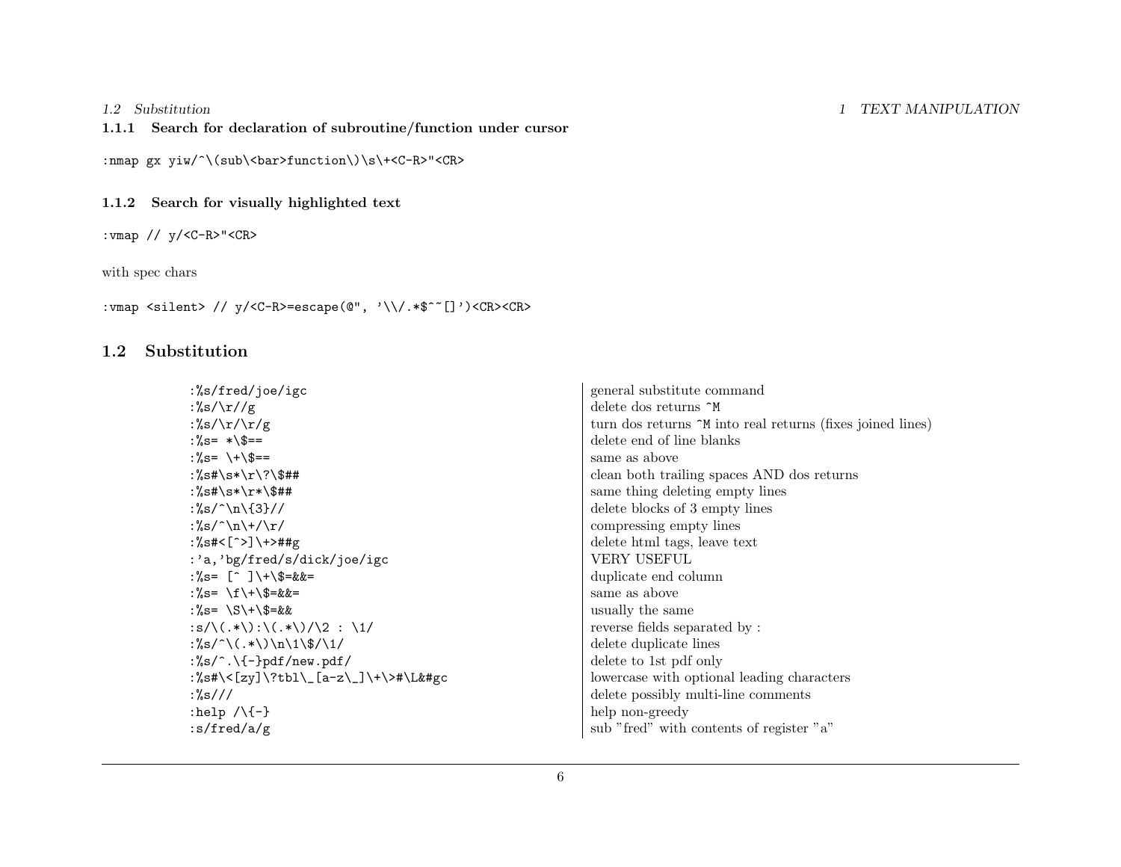<span id="page-5-0"></span>1.1.1 Search for declaration of subroutine/function under cursor

:nmap gx yiw/^\(sub\<br/>bar>function\)\s\+<C-R>"<CR>

<span id="page-5-1"></span>1.1.2 Search for visually highlighted text

:vmap // y/<C-R>"<CR>

with spec chars

:vmap <silent> // y/<C-R>=escape(@", '\\/.\*\$^~[]')<CR><CR>

## <span id="page-5-2"></span>1.2 Substitution

| :%s/fred/joe/igc                                                                                                                                                                                                                                                                                                                                                                 | general substitute command                                 |
|----------------------------------------------------------------------------------------------------------------------------------------------------------------------------------------------------------------------------------------------------------------------------------------------------------------------------------------------------------------------------------|------------------------------------------------------------|
| :%s/\r//g                                                                                                                                                                                                                                                                                                                                                                        | delete dos returns ~M                                      |
| :%s/\r/\r/g                                                                                                                                                                                                                                                                                                                                                                      | turn dos returns ~M into real returns (fixes joined lines) |
| : $%s = *$ \\$ = =                                                                                                                                                                                                                                                                                                                                                               | delete end of line blanks                                  |
| : $%s = \frac{1}{1}$ + \ \$ = =                                                                                                                                                                                                                                                                                                                                                  | same as above                                              |
| :%s#\s*\r\?\\$##                                                                                                                                                                                                                                                                                                                                                                 | clean both trailing spaces AND dos returns                 |
| :%s#\s*\r*\\$##                                                                                                                                                                                                                                                                                                                                                                  | same thing deleting empty lines                            |
| :%s/^\n\{3}//                                                                                                                                                                                                                                                                                                                                                                    | delete blocks of 3 empty lines                             |
| :%s/^\n\+/\r/                                                                                                                                                                                                                                                                                                                                                                    | compressing empty lines                                    |
| :%s#< $[^{\circ}$ >] \+>##g                                                                                                                                                                                                                                                                                                                                                      | delete html tags, leave text                               |
| :'a,'bg/fred/s/dick/joe/igc                                                                                                                                                                                                                                                                                                                                                      | <b>VERY USEFUL</b>                                         |
| :%s= [^ ]\+\\$=&&=                                                                                                                                                                                                                                                                                                                                                               | duplicate end column                                       |
| :%s= \f\+\\$=&&=                                                                                                                                                                                                                                                                                                                                                                 | same as above                                              |
| :%s= \S\+\\$=&&                                                                                                                                                                                                                                                                                                                                                                  | usually the same                                           |
| $\langle s/\langle .*\rangle \rangle : \langle .*\rangle / \langle 2 : \langle 1/\rangle$                                                                                                                                                                                                                                                                                        | reverse fields separated by:                               |
| :%s/^\ $(.*)\n\hbox{1}\$/\1/$                                                                                                                                                                                                                                                                                                                                                    | delete duplicate lines                                     |
| :%s/^.\{-}pdf/new.pdf/                                                                                                                                                                                                                                                                                                                                                           | delete to 1st pdf only                                     |
| :%s#\<[zy]\?tbl\_[a-z\_]\+\>#\L&#gc</td><td>lowercase with optional leading characters</td></tr><tr><td>:%s///</td><td>delete possibly multi-line comments</td></tr><tr><td><math>:</math>help <math>\wedge</math>{-}</td><td>help non-greedy</td></tr><tr><td>:s/fred/a/g</td><td>sub "fred" with contents of register "a"</td></tr><tr><td></td><td></td></tr></tbody></table> |                                                            |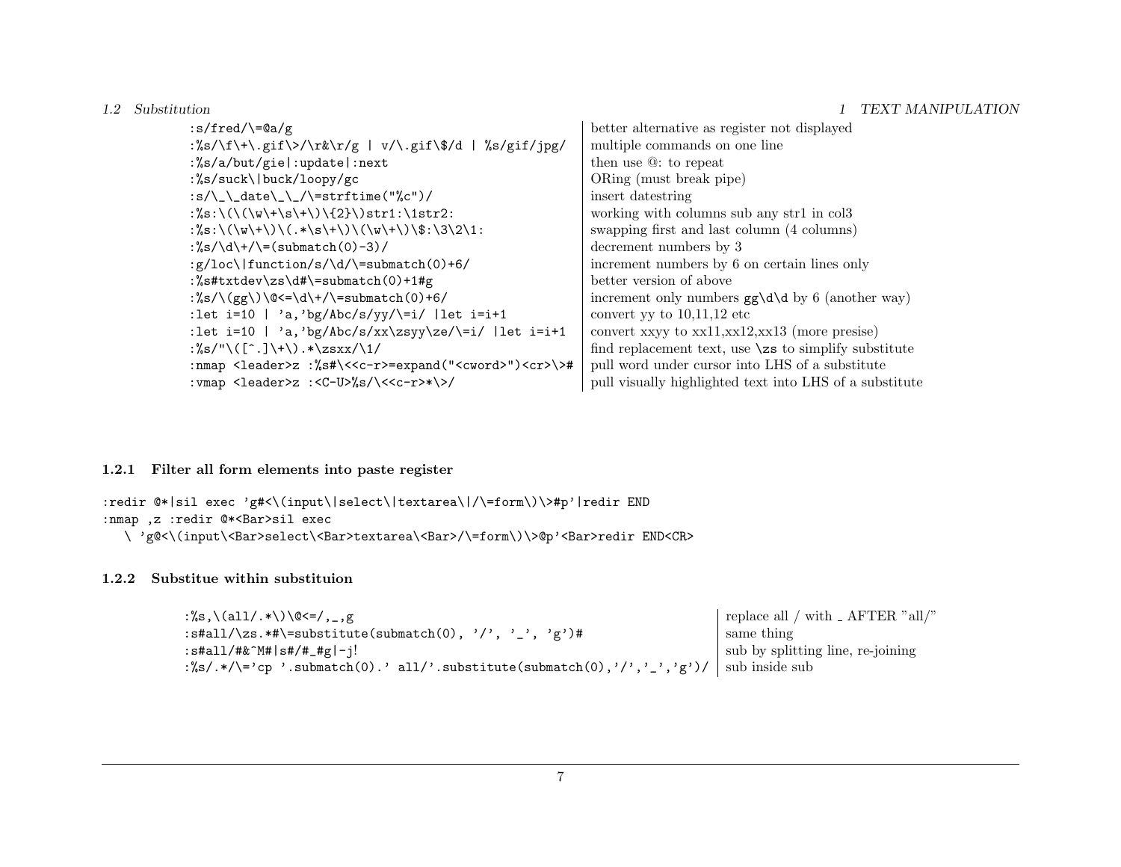#### 1.2 Substitution 1 TEXT MANIPULATION

| $:s/fred/\{-@a/g\}$                                                                    | better alternative as register not displayed                         |
|----------------------------------------------------------------------------------------|----------------------------------------------------------------------|
| :%s/\f\+\.gif\>/\r&\r/g   v/\.gif\\$/d   %s/gif/jpg/                                   | multiple commands on one line                                        |
| :%s/a/but/gie :update :next                                                            | then use $@:$ to repeat                                              |
| :%s/suck\ buck/loopy/gc                                                                | ORing (must break pipe)                                              |
| $\cdot$ s/\_\_date\_\_/\=strftime("%c")/                                               | insert datestring                                                    |
| :\s:\(\(\w\+\s\+\)\{2}\)str1:\1str2:                                                   | working with columns sub any str1 in col3                            |
| :\lamplays:\(\w\+\)\(.*\s\+\)\(\w\+\)\\$:\3\2\1:                                       | swapping first and last column (4 columns)                           |
| : $\frac{\%s}{d}+\frac{\{-\}t}{2}$ submatch(0)-3)/                                     | decrement numbers by 3                                               |
| :g/loc\ function/s/\d/\=submatch(0)+6/                                                 | increment numbers by 6 on certain lines only                         |
| :%s#txtdev\zs\d#\=submatch(0)+1#g                                                      | better version of above                                              |
| :\s/\(gg\)\@ <=\d\+/\=submatch(0)+6/                                                   | increment only numbers $gg\ddot{\text{d}}\text{ by }6$ (another way) |
| : let i=10   'a, 'bg/Abc/s/yy/\=i/   let i=i+1                                         | convert yy to $10,11,12$ etc                                         |
| : let i=10   'a, 'bg/Abc/s/xx\zsyy\ze/\=i/  let i=i+1                                  | convert xxyy to $x x 11, x x 12, x x 13$ (more presise)              |
| :%s/"\([^.]\+\).*\zsxx/\1/                                                             | find replacement text, use $\zeta$ is to simplify substitute         |
| :nmap <leader>z :%s#\&lt;<c-r>=expand("<cword>")<cr>\&gt;#</cr></cword></c-r></leader> | pull word under cursor into LHS of a substitute                      |
| : vmap <leader>z : <c-u>%s/\&lt;<c-r>&gt;&gt;&gt;&gt;&gt;</c-r></c-u></leader>         | pull visually highlighted text into LHS of a substitute              |

#### <span id="page-6-0"></span>1.2.1 Filter all form elements into paste register

```
:redir @*|sil exec 'g#<\(input\|select\|textarea\|/\=form\)\>#p'|redir END
:nmap ,z :redir @*<Bar>sil exec
  \ 'g@<\(input\<Bar>select\<Bar>textarea\<Bar>/\=form\)\>@p'<Bar>redir END<CR>
```
#### <span id="page-6-1"></span>1.2.2 Substitue within substituion

| :%s,\(all/.*\)\@ <= /, _, g                                                                                                                                             | replace all / with $\angle$ AFTER "all/" |
|-------------------------------------------------------------------------------------------------------------------------------------------------------------------------|------------------------------------------|
| :s#all/\zs.*#\=substitute(submatch(0), '/', '_', 'g')#                                                                                                                  | same thing                               |
| :s#all/#&^M# s#/#_#g -j!                                                                                                                                                | sub by splitting line, re-joining        |
| : $\sqrt{s}/\sqrt{s}/\sqrt{s}$ cp $\sqrt{s}$ . submatch(0). $\sqrt{s}/\sqrt{s}$ . substitute (submatch(0), $\sqrt{s}/\sqrt{s}$ , $\sqrt{s}/\sqrt{s}$ )   sub inside sub |                                          |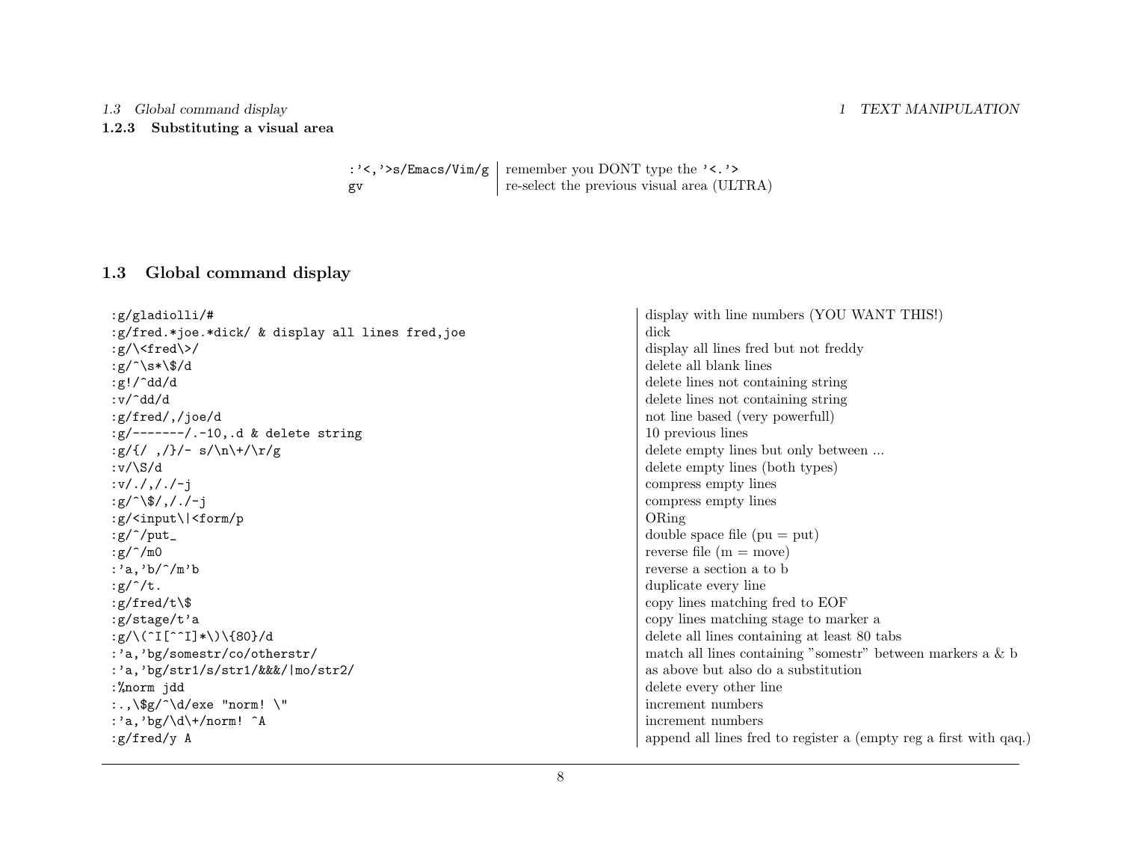<span id="page-7-0"></span>1.3 Global command display  $1$  TEXT MANIPULATION

:'<,'>s/Emacs/Vim/g | remember you DONT type the '<.'> gv re-select the previous visual area (ULTRA)

## <span id="page-7-1"></span>1.3 Global command display

| display with line numbers (YOU WANT THIS!)                        |
|-------------------------------------------------------------------|
| dick                                                              |
| display all lines fred but not freddy                             |
| delete all blank lines                                            |
| delete lines not containing string                                |
| delete lines not containing string                                |
| not line based (very powerfull)                                   |
| 10 previous lines                                                 |
| delete empty lines but only between                               |
| delete empty lines (both types)                                   |
| compress empty lines                                              |
| compress empty lines                                              |
| ORing                                                             |
| double space file $(pu = put)$                                    |
| reverse file $(m = move)$                                         |
| reverse a section a to b                                          |
| duplicate every line                                              |
| copy lines matching fred to EOF                                   |
| copy lines matching stage to marker a                             |
| delete all lines containing at least 80 tabs                      |
| match all lines containing "somestr" between markers a $\&$ b     |
| as above but also do a substitution                               |
| delete every other line                                           |
| increment numbers                                                 |
| increment numbers                                                 |
| append all lines fred to register a (empty reg a first with qaq.) |
|                                                                   |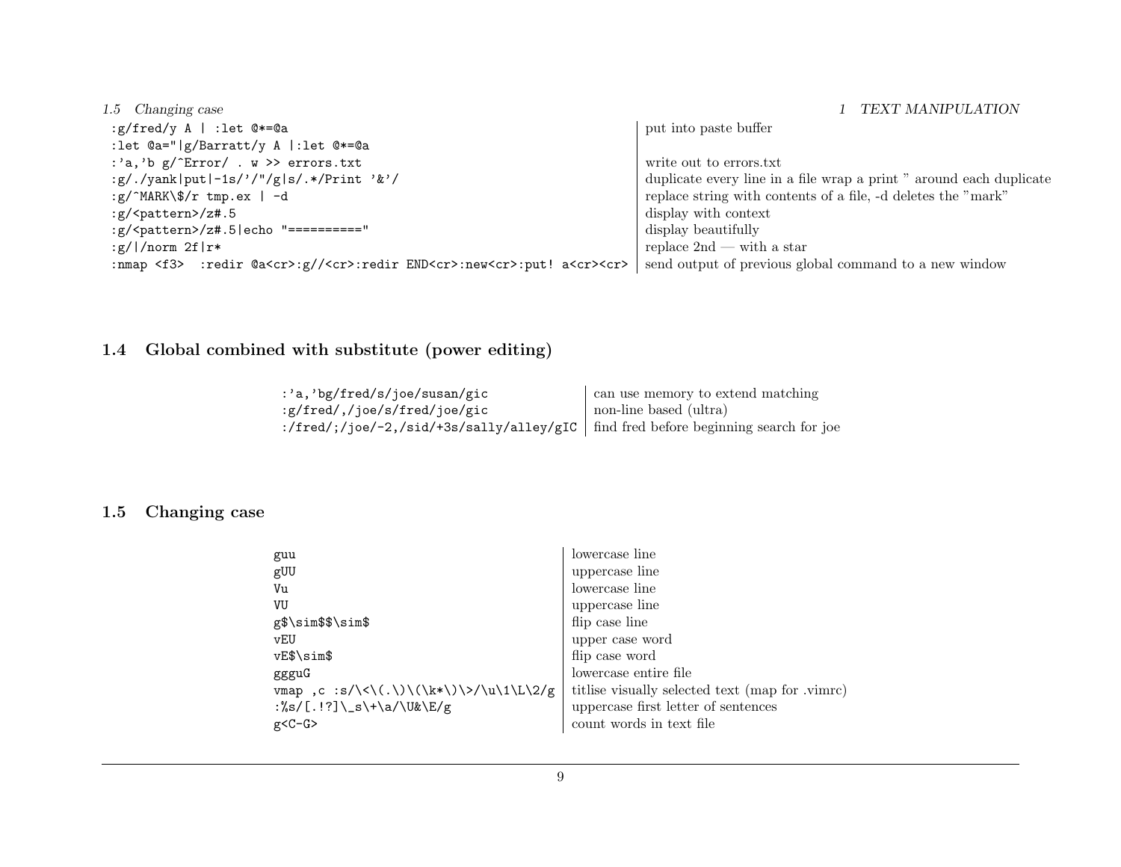| ! TEXT MANIPULATION                                                 |
|---------------------------------------------------------------------|
| put into paste buffer                                               |
|                                                                     |
| write out to errors.txt                                             |
| duplicate every line in a file wrap a print " around each duplicate |
| replace string with contents of a file, -d deletes the "mark"       |
| display with context                                                |
| display beautifully                                                 |
| replace $2nd$ — with a star                                         |
| send output of previous global command to a new window              |
|                                                                     |

# <span id="page-8-0"></span>1.4 Global combined with substitute (power editing)

| : a, 'bg/fred/s/joe/susan/gic                                                        | can use memory to extend matching |
|--------------------------------------------------------------------------------------|-----------------------------------|
| :g/fred/,/joe/s/fred/joe/gic:                                                        | non-line based (ultra)            |
| :/fred/;/joe/-2,/sid/+3s/sally/alley/gIC   find fred before beginning search for joe |                                   |

# <span id="page-8-1"></span>1.5 Changing case

| guu                                      | lowercase line                                  |
|------------------------------------------|-------------------------------------------------|
| gUU                                      | uppercase line                                  |
| Vu                                       | lowercase line                                  |
| VU                                       | uppercase line                                  |
| g\$\sim\$\$\sim\$                        | flip case line                                  |
| vEU                                      | upper case word                                 |
| $vE$ \$\sim\$                            | flip case word                                  |
| ggguG                                    | lowercase entire file                           |
| vmap , c : s/\<\(.\)\(\k*\)\>/\u\1\L\2/g | titlise visually selected text (map for .vimrc) |
| :%s/[.!?]\_s\+\a/\U&\E/g                 | uppercase first letter of sentences             |
| $g < C - G$                              | count words in text file                        |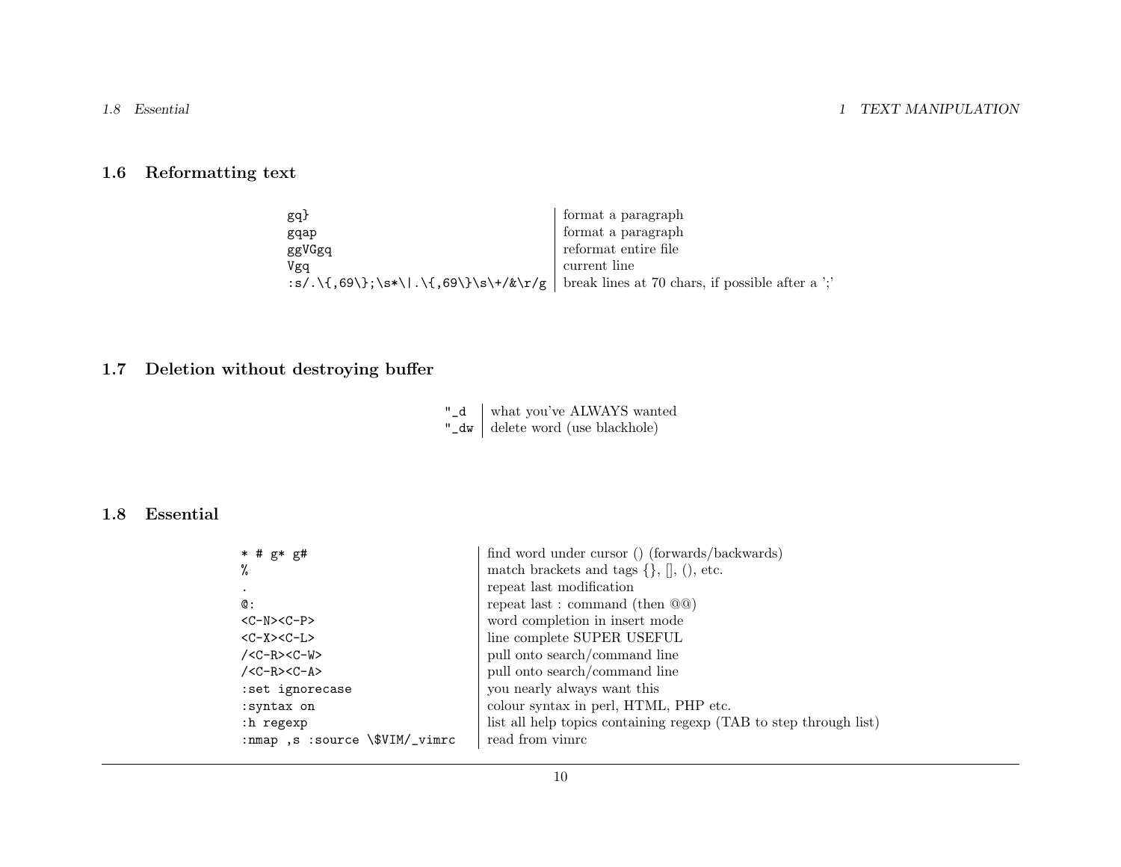## <span id="page-9-0"></span>1.6 Reformatting text

| gq}    | format a paragraph                                                                                                                                                                                                                                                                                         |
|--------|------------------------------------------------------------------------------------------------------------------------------------------------------------------------------------------------------------------------------------------------------------------------------------------------------------|
| ggap   | format a paragraph                                                                                                                                                                                                                                                                                         |
| ggVGgq | reformat entire file                                                                                                                                                                                                                                                                                       |
| Vgq    | current line                                                                                                                                                                                                                                                                                               |
|        | $\{S\}\;\s(1)\;\s(1)\;\s(2)\;\s(3)\;\s(4)\;\s(4)\;\s(5)\;\s(6)\;\s(7)\;\s(8)\;\s(9)\;\s(10)\;\s(11)\;\s(12)\;\s(13)\;\s(14)\;\s(15)\;\s(16)\;\s(17)\;\s(18)\;\s(19)\;\s(11)\;\s(11)\;\s(11)\;\s(12)\;\s(13)\;\s(14)\;\s(15)\;\s(16)\;\s(17)\;\s(18)\;\s(19)\;\s(11)\;\s(11)\;\s(11)\;\s(12)\;\s(13)\;\s(1$ |

## <span id="page-9-1"></span>1.7 Deletion without destroying buffer

"\_d what you've ALWAYS wanted "\_dw delete word (use blackhole)

## <span id="page-9-2"></span>1.8 Essential

| $*$ # $g*$ $g#$                   | find word under cursor () (forwards/backwards)                        |
|-----------------------------------|-----------------------------------------------------------------------|
|                                   | match brackets and tags $\{\}, \parallel, \parallel, \parallel,$ etc. |
|                                   | repeat last modification                                              |
| <b>Q:</b>                         | repeat last : command (then $@@$ )                                    |
| $<$ C-N> $<$ C-P>                 | word completion in insert mode                                        |
| $<$ C-X> $<$ C-L>                 | line complete SUPER USEFUL                                            |
| $\angle$ <c-r><c-w></c-w></c-r>   | pull onto search/command line                                         |
| $\angle$ <c-r><c-a></c-a></c-r>   | pull onto search/command line                                         |
| :set ignorecase                   | you nearly always want this                                           |
| : syntax on                       | colour syntax in perl, HTML, PHP etc.                                 |
| :h regexp                         | list all help topics containing regexp (TAB to step through list)     |
| :nmap, $s$ : source \\$VIM/_vimrc | read from vimro                                                       |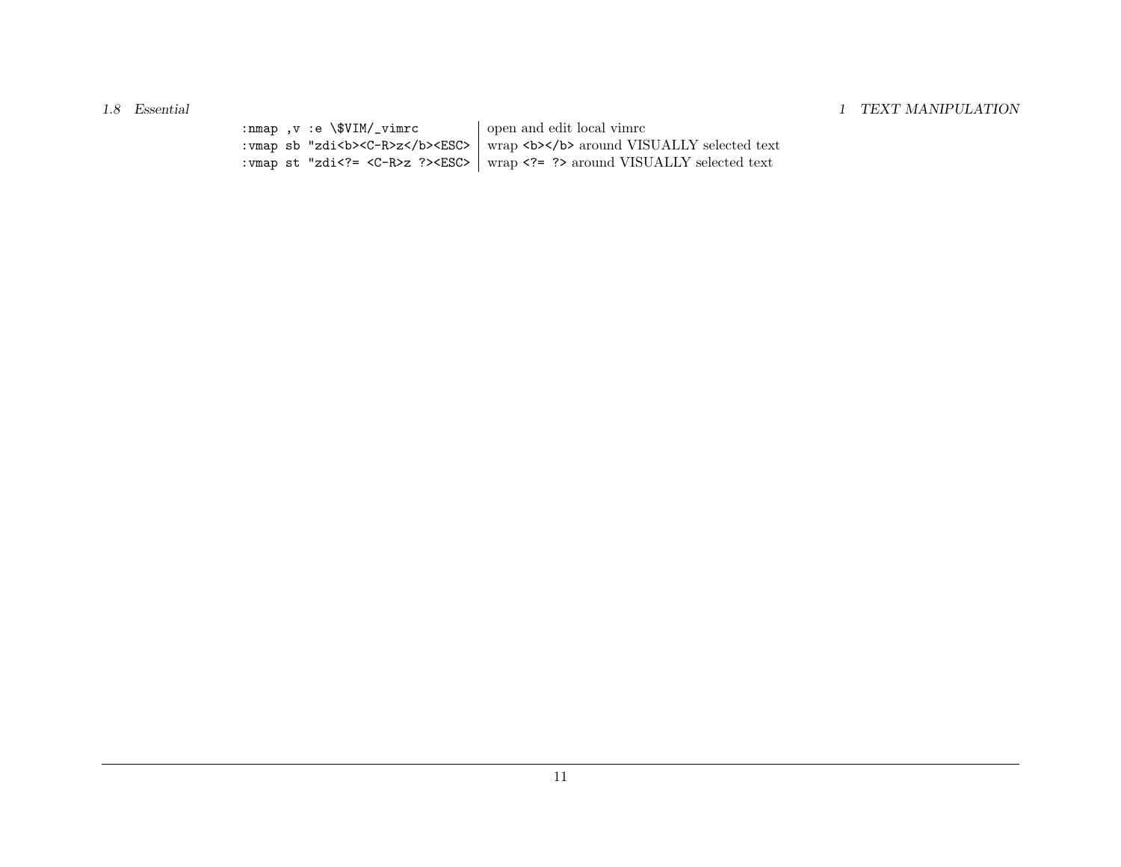# 1.8 Essential 1 TEXT MANIPULATION

| :nmap ,v :e $\$VIM/$ _vimrc | open and edit local vimron                                                                                  |
|-----------------------------|-------------------------------------------------------------------------------------------------------------|
|                             | : vmap sb "zdi<br>>>C-R>z <esc>   wrap <br/> <br/>b&gt;&gt;&gt;&gt;&gt; around VISUALLY selected text</esc> |
|                             | : vmap st "zdi = <C-R z ?> <esc>   wrap <?= ?> around VISUALLY selected text</esc>                          |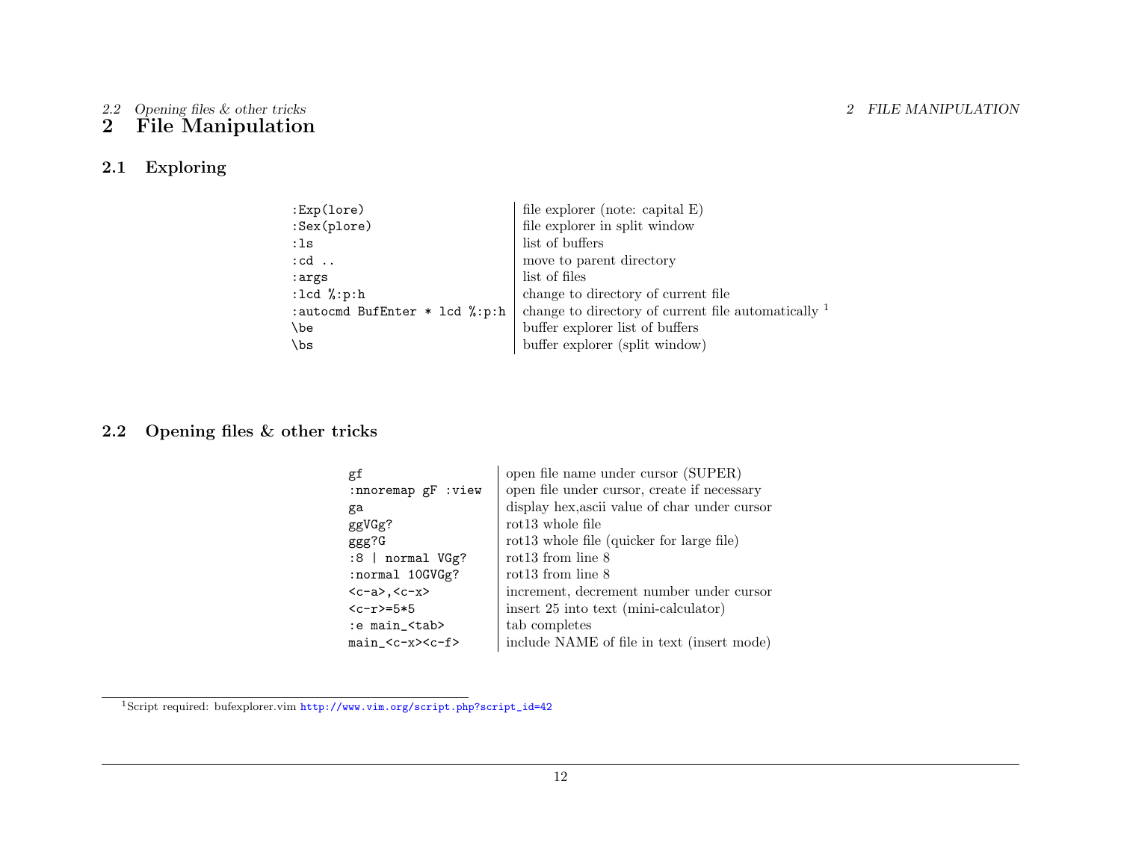## 2.2 Opening files & other tricks 2 FILE MANIPULATION

## <span id="page-11-0"></span>2 File Manipulation

## <span id="page-11-1"></span>2.1 Exploring

| :Exp(lore)                         | file explorer (note: capital $E$ )                    |
|------------------------------------|-------------------------------------------------------|
| :Sex(plore)                        | file explorer in split window                         |
| :1s                                | list of buffers                                       |
| $: d$ .                            | move to parent directory                              |
| :args                              | list of files                                         |
| :lcd $\sqrt[n]{:p:h}$              | change to directory of current file                   |
| : autocmd BufEnter $*$ 1cd %: p: h | change to directory of current file automatically $1$ |
| \be                                | buffer explorer list of buffers                       |
| \bs                                | buffer explorer (split window)                        |

## <span id="page-11-2"></span>2.2 Opening files & other tricks

| gf                                         | open file name under cursor (SUPER)           |
|--------------------------------------------|-----------------------------------------------|
| :nnoremap gF :view                         | open file under cursor, create if necessary   |
| ga                                         | display hex, ascii value of char under cursor |
| ggVGg?                                     | rot13 whole file                              |
| ggg?G                                      | rot13 whole file (quicker for large file)     |
| $:8$   normal $VGg$ ?                      | rot $13$ from line $8$                        |
| :normal 10GVGg?                            | rot $13$ from line $8$                        |
| $\langle c-a \rangle, \langle c-x \rangle$ | increment, decrement number under cursor      |
| $\langle c-r \rangle = 5*5$                | insert 25 into text (mini-calculator)         |
| :e main_ <tab></tab>                       | tab completes                                 |
| $main $                                    | include NAME of file in text (insert mode)    |

<span id="page-11-3"></span><sup>1</sup>Script required: bufexplorer.vim [http://www.vim.org/script.php?script\\_id=42](http://www.vim.org/script.php?script_id=42)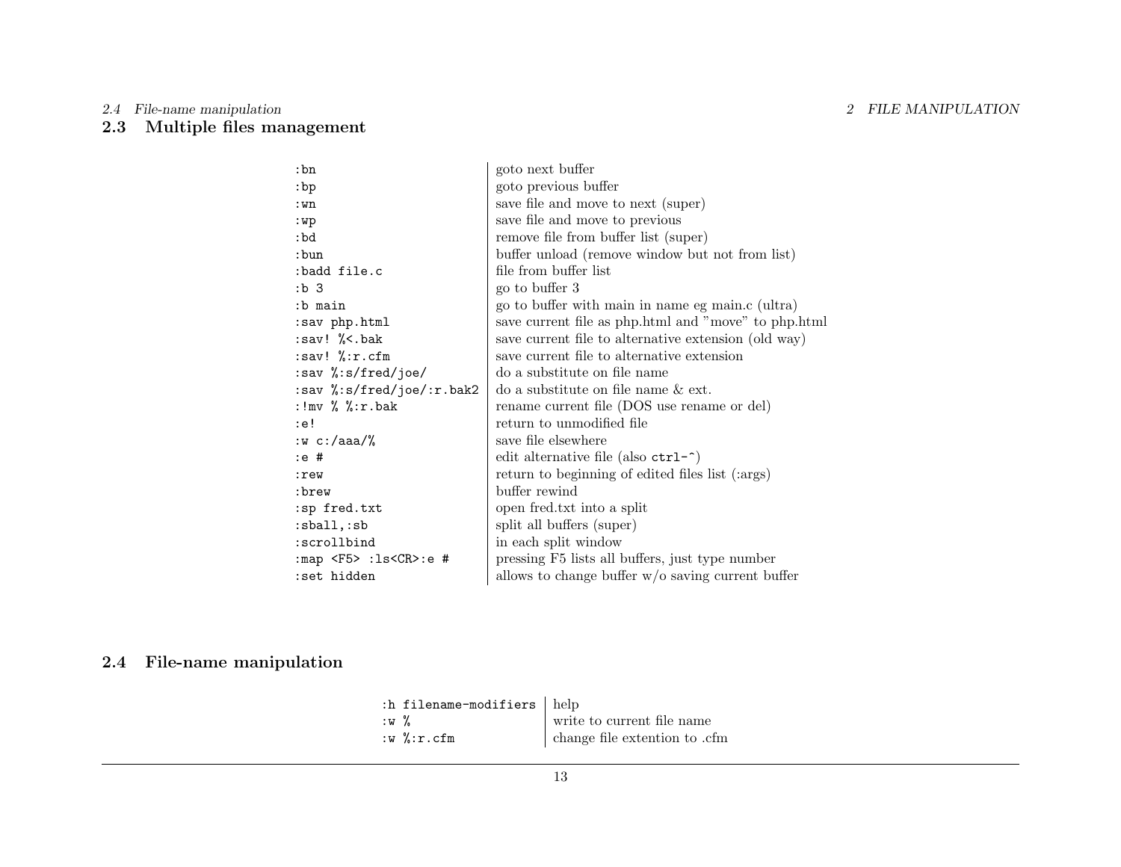## 2.4 File-name manipulation 2 FILE MANIPULATION

# <span id="page-12-0"></span>2.3 Multiple files management

| :bn                                                     | goto next buffer                                     |
|---------------------------------------------------------|------------------------------------------------------|
| : bp                                                    | goto previous buffer                                 |
| :wn                                                     | save file and move to next (super)                   |
| :wp                                                     | save file and move to previous                       |
| :bd                                                     | remove file from buffer list (super)                 |
| : bun                                                   | buffer unload (remove window but not from list)      |
| :badd file.c                                            | file from buffer list                                |
| :b <sub>3</sub>                                         | go to buffer 3                                       |
| :b main                                                 | go to buffer with main in name eg main.c (ultra)     |
| :sav php.html                                           | save current file as php.html and "move" to php.html |
| :sav! $\frac{9}{6}$ <.bak                               | save current file to alternative extension (old way) |
| : $sav!$ %: $r.cfm$                                     | save current file to alternative extension           |
| :sav %:s/fred/joe/                                      | do a substitute on file name                         |
| :sav $%:s/fred/joe/:r.bak2$                             | do a substitute on file name & ext.                  |
| :!mv % $%$ :r.bak                                       | rename current file (DOS use rename or del)          |
| : e!                                                    | return to unmodified file                            |
| :w $c$ :/aaa/%                                          | save file elsewhere                                  |
| :е #                                                    | edit alternative file (also $ctrl$ - $\hat{ }$ )     |
| :rew                                                    | return to beginning of edited files list (:args)     |
| :brew                                                   | buffer rewind                                        |
| :sp fred.txt                                            | open fred txt into a split                           |
| $:$ sball, $:$ sb                                       | split all buffers (super)                            |
| :scrollbind                                             | in each split window                                 |
| :map $\langle FS \rangle$ :ls $\langle CR \rangle$ :e # | pressing F5 lists all buffers, just type number      |
| :set hidden                                             | allows to change buffer $w/o$ saving current buffer  |
|                                                         |                                                      |

## <span id="page-12-1"></span>2.4 File-name manipulation

| :h filename-modifiers $ $ help |                               |
|--------------------------------|-------------------------------|
| :w %                           | write to current file name    |
| $: w \; \% : r.cfm$            | change file extention to .cfm |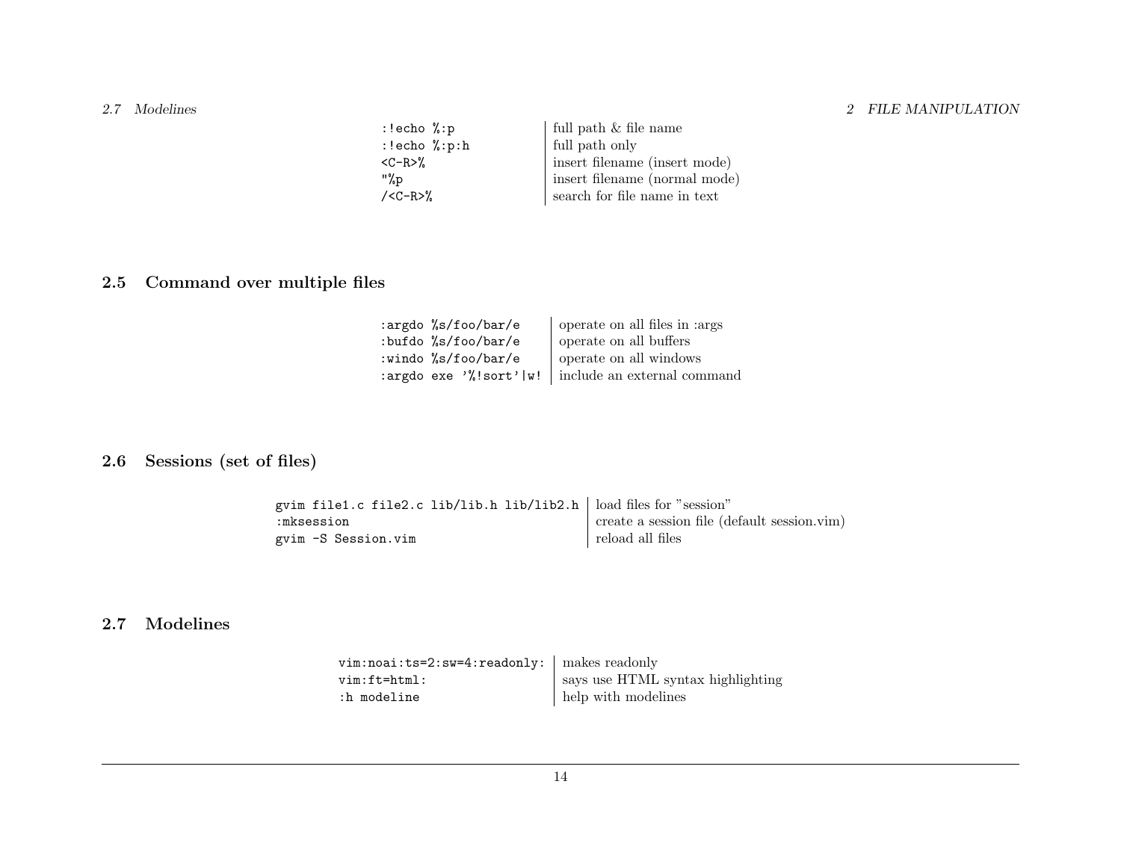| 2.7 Modelines | FILE MANIPULATION |
|---------------|-------------------|
|               |                   |

| :!echo %:p       | full path $\&$ file name                      |
|------------------|-----------------------------------------------|
| : !echo %:p:h    | $\vert$ full path only                        |
| $<$ C $-R$ $>$ % | insert filename (insert mode)                 |
| "                | $\,$ insert filename (normal mode)            |
| / <c-r>%</c-r>   | search for file name in $\operatorname{text}$ |

## <span id="page-13-0"></span>2.5 Command over multiple files

| :argdo %s/foo/bar/e                        | operate on all files in :args |
|--------------------------------------------|-------------------------------|
| :bufdo %s/foo/bar/e                        | operate on all buffers        |
| :windo $\frac{\%s}{\text{0}}$ /s/foo/bar/e | operate on all windows        |
| :argdo exe $\sqrt{\ }$ !sort' w!           | include an external command   |

## <span id="page-13-1"></span>2.6 Sessions (set of files)

| :mksession          | create a session file (default session.vim) |
|---------------------|---------------------------------------------|
| gvim -S Session.vim | reload all files                            |

## <span id="page-13-2"></span>2.7 Modelines

| $vim:noai:ts=2:sw=4:readonly:$   makes readonly |                                   |
|-------------------------------------------------|-----------------------------------|
| vim:ft=html:                                    | says use HTML syntax highlighting |
| :h modeline                                     | help with modelines               |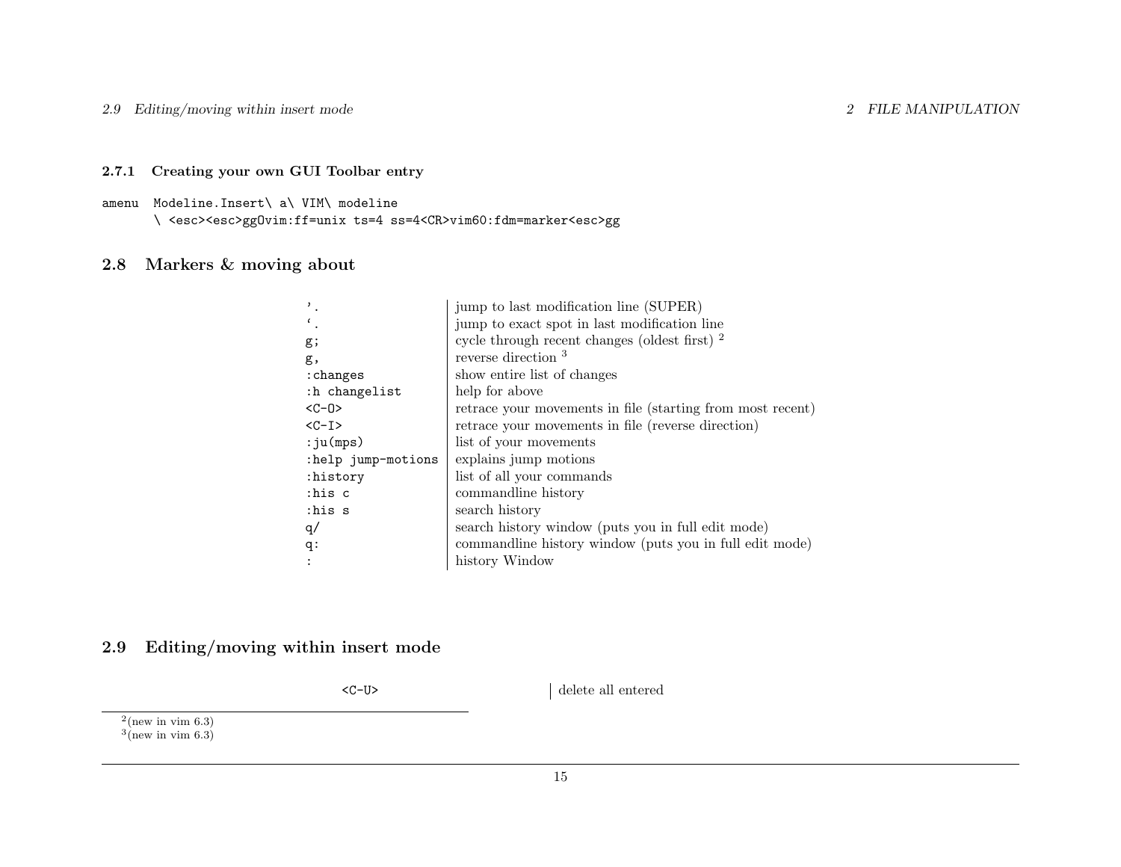#### <span id="page-14-0"></span>2.7.1 Creating your own GUI Toolbar entry

amenu Modeline.Insert\ a\ VIM\ modeline \ <esc><esc>ggOvim:ff=unix ts=4 ss=4<CR>vim60:fdm=marker<esc>gg

## <span id="page-14-1"></span>2.8 Markers & moving about

| ٠.                 | jump to last modification line (SUPER)                     |
|--------------------|------------------------------------------------------------|
|                    | jump to exact spot in last modification line               |
| g;                 | cycle through recent changes (oldest first) $^2$           |
| g,                 | reverse direction <sup>3</sup>                             |
| : changes          | show entire list of changes                                |
| :h changelist      | help for above                                             |
| $C-D>$             | retrace your movements in file (starting from most recent) |
| $C-1>$             | retrace your movements in file (reverse direction)         |
| :ju(mps)           | list of your movements                                     |
| :help jump-motions | explains jump motions                                      |
| :history           | list of all your commands                                  |
| :his c             | commandline history                                        |
| :his s             | search history                                             |
| q/                 | search history window (puts you in full edit mode)         |
| q:                 | commandline history window (puts you in full edit mode)    |
|                    | history Window                                             |

<span id="page-14-2"></span>2.9 Editing/moving within insert mode

 $\langle C- U \rangle$  delete all entered

<span id="page-14-3"></span> $^{2}$ (new in vim 6.3)

<span id="page-14-4"></span> $3$ (new in vim 6.3)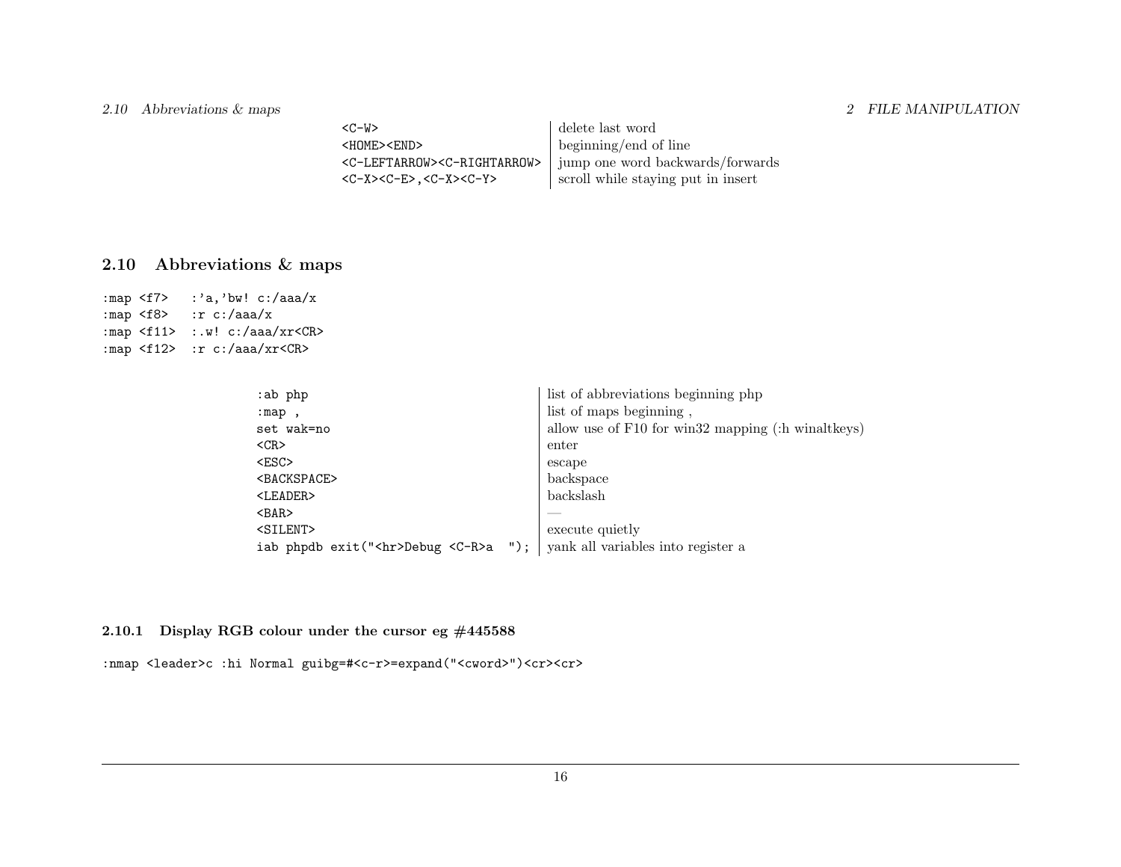#### 2.10 Abbreviations  $\&$  maps  $\qquad \qquad$   $\qquad \qquad$  FILE MANIPULATION

| <c-w></c-w>                                   | delete last word                                                                            |
|-----------------------------------------------|---------------------------------------------------------------------------------------------|
| <home><end></end></home>                      | $\vert$ beginning/end of line                                                               |
|                                               | <c-leftarrow><c-rightarrow>   jump one word backwards/forwards</c-rightarrow></c-leftarrow> |
| <c-x><c-e>,<c-x><c-y></c-y></c-x></c-e></c-x> | scroll while staying put in insert                                                          |

## <span id="page-15-0"></span>2.10 Abbreviations & maps

:map <f7> :'a,'bw! c:/aaa/x :map <f8> :r c:/aaa/x :map <f11> :.w! c:/aaa/xr<CR> :map <f12> :r c:/aaa/xr<CR>

| :ab php                                       | list of abbreviations beginning php                |
|-----------------------------------------------|----------------------------------------------------|
| :map,                                         | list of maps beginning,                            |
| set wak=no                                    | allow use of F10 for win32 mapping (:h winaltkeys) |
| $<$ CR $>$                                    | enter                                              |
| $<$ ESC $>$                                   | escape                                             |
| <backspace></backspace>                       | backspace                                          |
| <leader></leader>                             | backslash                                          |
| $<$ BAR $>$                                   |                                                    |
| <silent></silent>                             | execute quietly                                    |
| iab phpdb exit(" <hr/> Debug <c-r>a ");</c-r> | yank all variables into register a                 |

<span id="page-15-1"></span>2.10.1 Display RGB colour under the cursor eg  $\#445588$ 

:nmap <leader>c :hi Normal guibg=#<c-r>=expand("<cword>")<cr><cr>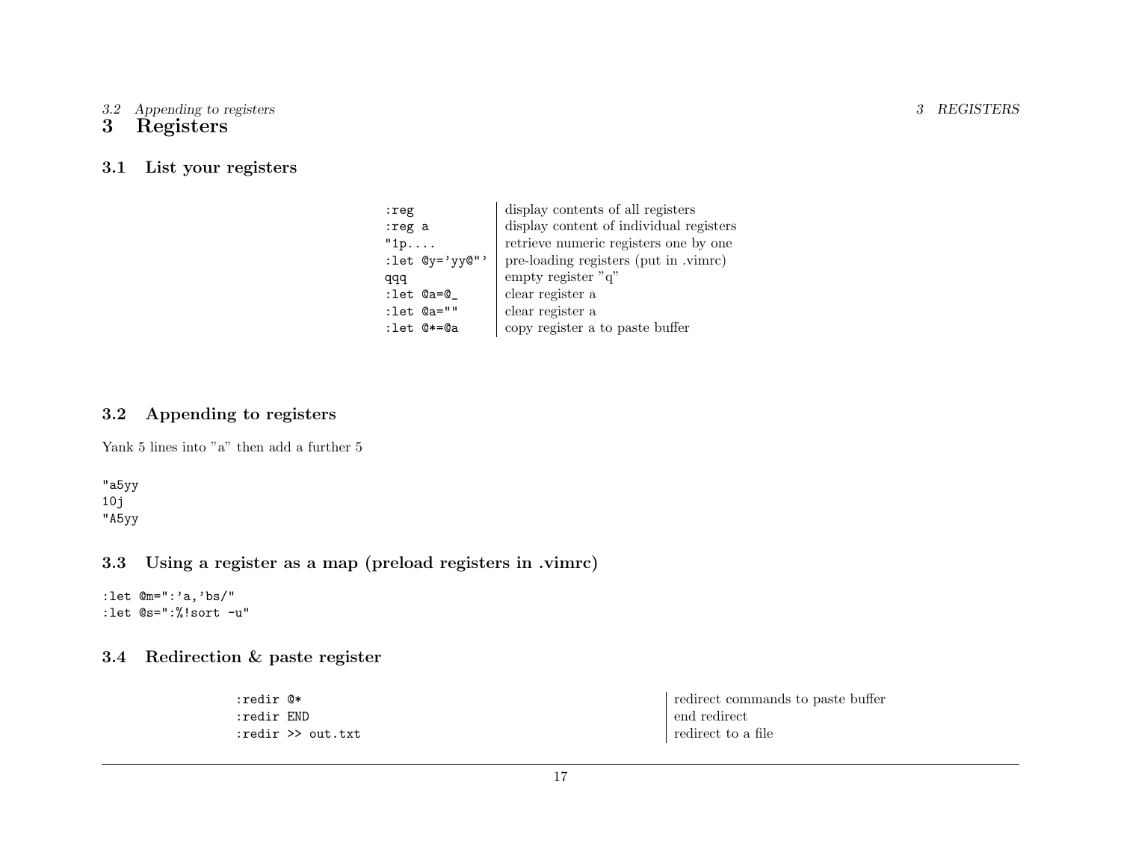#### 3.2 Appending to registers 3 REGISTERS

## <span id="page-16-0"></span>3 Registers

## <span id="page-16-1"></span>3.1 List your registers

| display content of individual registers |
|-----------------------------------------|
| retrieve numeric registers one by one   |
| pre-loading registers (put in .vimrc)   |
|                                         |
|                                         |
|                                         |
|                                         |
|                                         |

## <span id="page-16-2"></span>3.2 Appending to registers

Yank 5 lines into "a" then add a further 5

"a5yy 10j "A5yy

### <span id="page-16-3"></span>3.3 Using a register as a map (preload registers in .vimrc)

:let @m=":'a,'bs/" :let @s=":%!sort -u"

## <span id="page-16-4"></span>3.4 Redirection & paste register

: redir END end redirect :redir >> out.txt redirect to a file

: redir  $Q^*$  redirect commands to paste buffer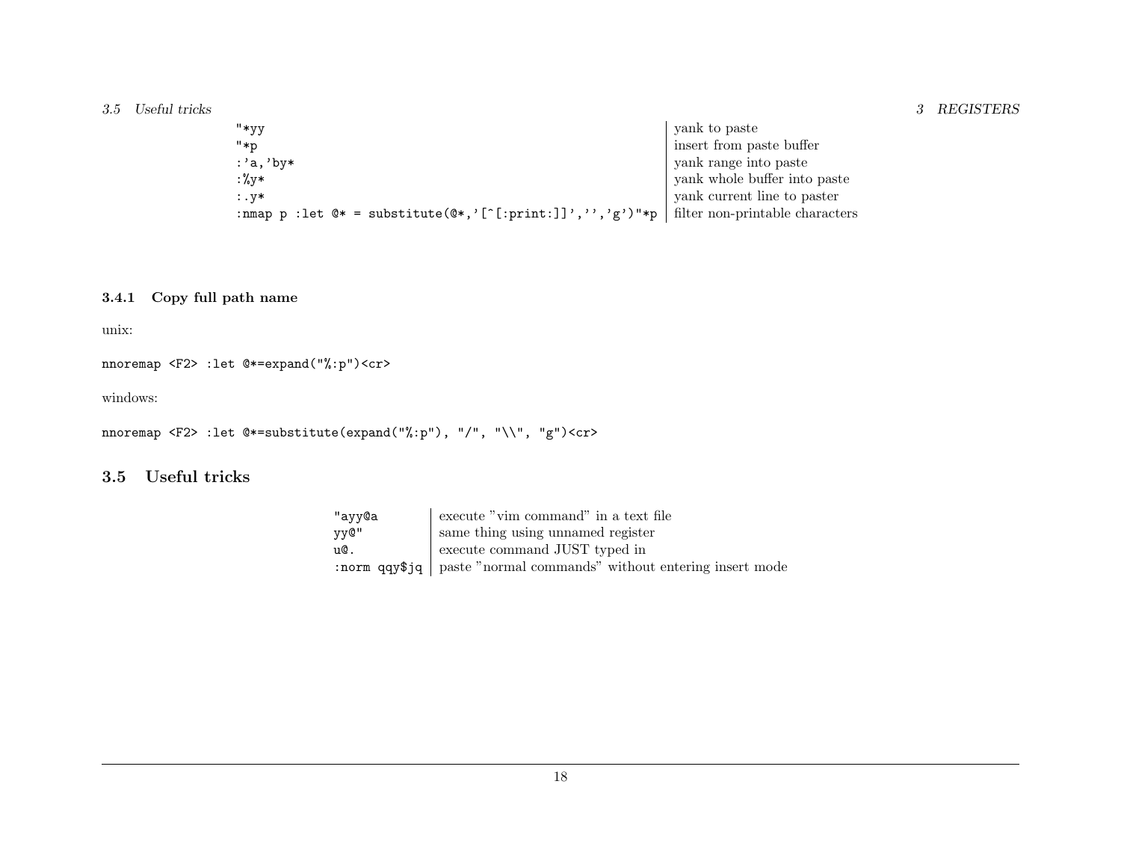| 3.5 Useful tricks |  | REGISTERS |
|-------------------|--|-----------|
|-------------------|--|-----------|

| $"*vv$                                                           | yank to paste                   |
|------------------------------------------------------------------|---------------------------------|
| $"*p$                                                            | insert from paste buffer        |
| $: a, 'by*$                                                      | yank range into paste           |
| $\cdot\sqrt[6]{v^*}$                                             | yank whole buffer into paste    |
| $: .v*$                                                          | yank current line to paster     |
| :nmap p : let $@* =$ substitute( $@*,$ '[^[:print:]]','','g')"*p | filter non-printable characters |

#### <span id="page-17-0"></span>3.4.1 Copy full path name

unix:

nnoremap <F2> :let @\*=expand("%:p")<cr>

windows:

```
nnoremap <F2> :let @*=substitute(expand("%:p"), "/", "\\", "g")<cr>
```
## <span id="page-17-1"></span>3.5 Useful tricks

| "ayy@a | execute "vim command" in a text file                                 |
|--------|----------------------------------------------------------------------|
| vv@"   | same thing using unnamed register                                    |
| u@.    | execute command JUST typed in                                        |
|        | :norm qqy\$jq   paste "normal commands" without entering insert mode |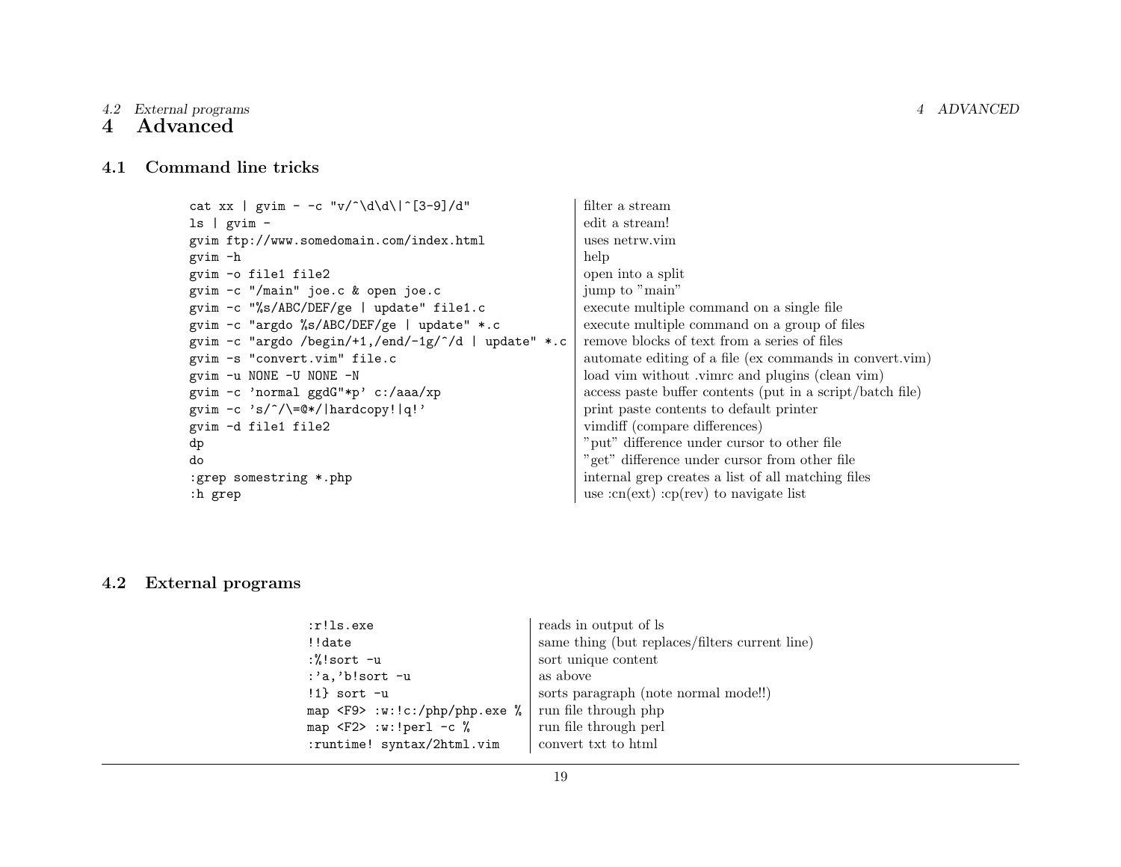#### 4.2 External programs 4 ADVANCED

<span id="page-18-0"></span>4 Advanced

## <span id="page-18-1"></span>4.1 Command line tricks

| cat xx   gvim - -c "v/^\d\d\ ^[3-9]/d"              | filter a stream                                           |
|-----------------------------------------------------|-----------------------------------------------------------|
| $ls$   gvim -                                       | edit a stream!                                            |
| gvim ftp://www.somedomain.com/index.html            | uses netrw.vim                                            |
| gvim -h                                             | help                                                      |
| gvim -o file1 file2                                 | open into a split                                         |
| gvim -c "/main" joe.c & open joe.c                  | jump to "main"                                            |
| gvim -c "%s/ABC/DEF/ge   update" file1.c            | execute multiple command on a single file                 |
| gvim -c "argdo %s/ABC/DEF/ge   update" *.c          | execute multiple command on a group of files              |
| gvim -c "argdo /begin/+1,/end/-1g/^/d   update" *.c | remove blocks of text from a series of files              |
| gvim -s "convert.vim" file.c                        | automate editing of a file (ex commands in convert.vim)   |
| gvim -u NONE -U NONE -N                             | load vim without .vimrc and plugins (clean vim)           |
| gvim -c 'normal ggdG"*p' c:/aaa/xp                  | access paste buffer contents (put in a script/batch file) |
| gvim $-c$ 's/^/\=@*/ hardcopy! q!'                  | print paste contents to default printer                   |
| gvim -d file1 file2                                 | vimdiff (compare differences)                             |
| dp                                                  | "put" difference under cursor to other file               |
| do                                                  | "get" difference under cursor from other file             |
| :grep somestring *.php                              | internal grep creates a list of all matching files        |
| h grep:                                             | use : $cn(ext)$ : $cp(rev)$ to navigate list              |

## <span id="page-18-2"></span>4.2 External programs

| :r!ls.exe                                                     | reads in output of ls                          |
|---------------------------------------------------------------|------------------------------------------------|
| !!date                                                        | same thing (but replaces/filters current line) |
| :%!sort -u                                                    | sort unique content                            |
| $: a, 'b! sort -u$                                            | as above                                       |
| $!1$ } sort -u                                                | sorts paragraph (note normal mode!!)           |
| map $\langle F9 \rangle : w : !c : /php /php \text{ .} exe %$ | run file through php                           |
| map $\langle F2 \rangle$ :w:!perl -c %                        | run file through perl                          |
| :runtime! syntax/2html.vim                                    | convert txt to html                            |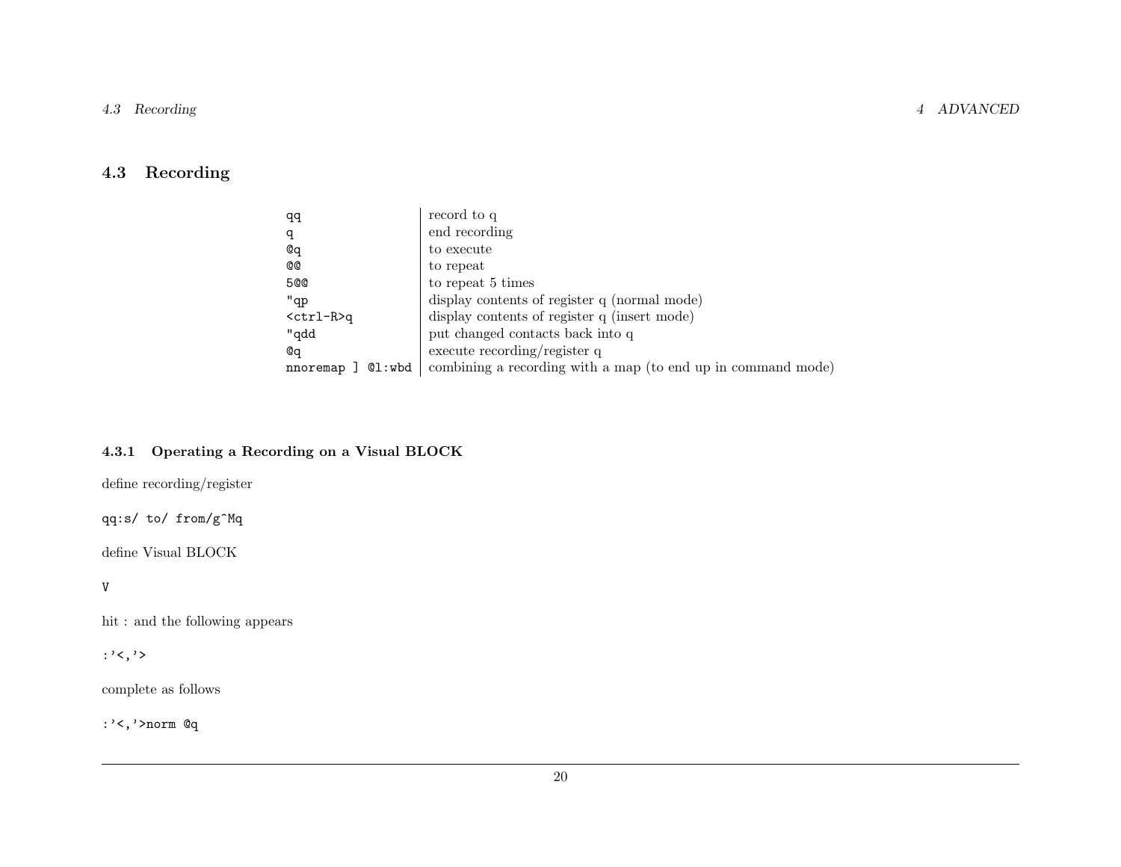## 4.3 Recording 4 ADVANCED

## <span id="page-19-0"></span>4.3 Recording

| qq                 | record to q                                                  |
|--------------------|--------------------------------------------------------------|
| q                  | end recording                                                |
| @q                 | to execute                                                   |
| <b>@@</b>          | to repeat                                                    |
| <b>500</b>         | to repeat 5 times                                            |
| "qp                | display contents of register q (normal mode)                 |
| $<$ ctrl-R>q       | display contents of register q (insert mode)                 |
| "qdd               | put changed contacts back into q                             |
| @q                 | execute recording/register q                                 |
| nnoremap<br>@l:wbd | combining a recording with a map (to end up in command mode) |

## <span id="page-19-1"></span>4.3.1 Operating a Recording on a Visual BLOCK

define recording/register

qq:s/ to/ from/g^Mq

define Visual BLOCK

#### V

hit : and the following appears

:' $\langle \cdot \rangle$ '>

complete as follows

:'<,'>norm @q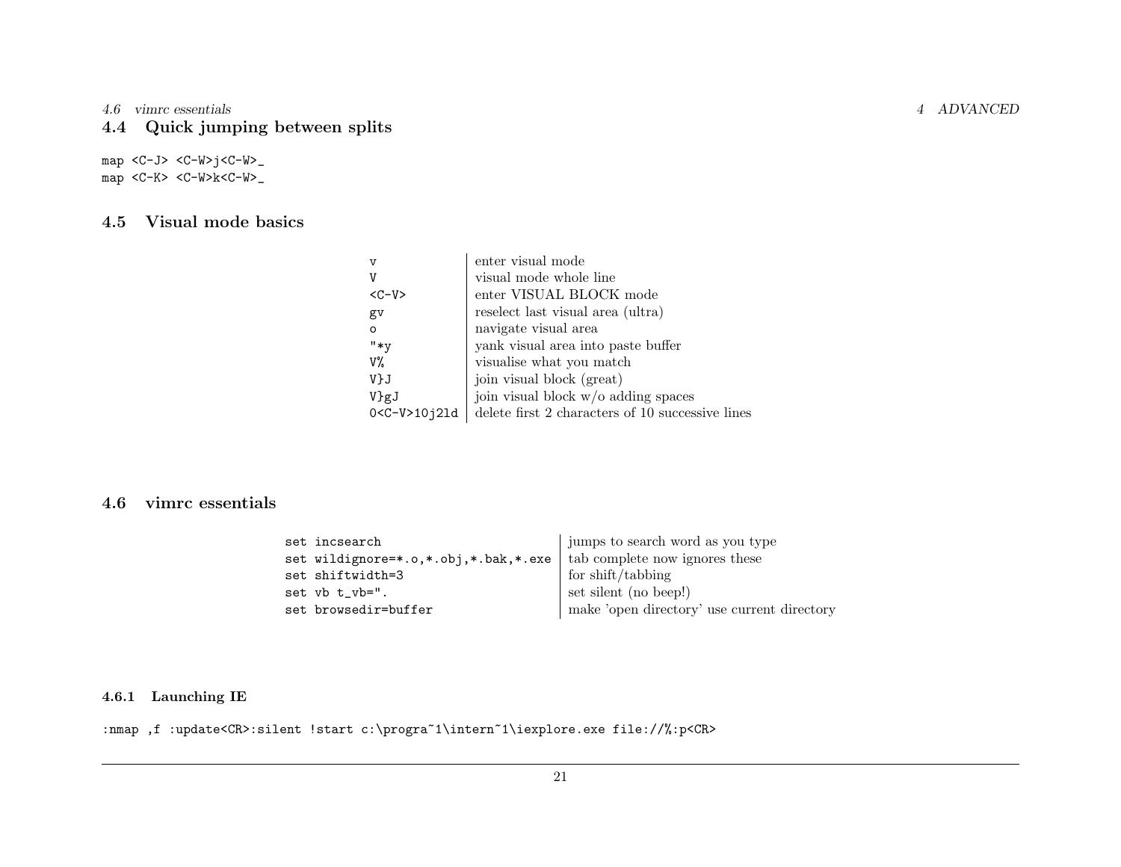4.6 vimrc essentials 4 ADVANCED

<span id="page-20-0"></span>4.4 Quick jumping between splits

map <C-J> <C-W>j<C-W>\_ map <C-K> <C-W>k<C-W>\_

## <span id="page-20-1"></span>4.5 Visual mode basics

| v                    | enter visual mode                                |
|----------------------|--------------------------------------------------|
| V                    | visual mode whole line                           |
| $C-V>$               | enter VISUAL BLOCK mode                          |
| gx                   | reselect last visual area (ultra)                |
| $\circ$              | navigate visual area                             |
| $"*y$                | yank visual area into paste buffer               |
| V%                   | visualise what you match                         |
| V}J                  | join visual block (great)                        |
| V}gJ                 | join visual block w/o adding spaces              |
| $0 < C - V > 10121d$ | delete first 2 characters of 10 successive lines |

## <span id="page-20-2"></span>4.6 vimrc essentials

| iumps to search word as you type<br>set incsearch                                                                                             |  |
|-----------------------------------------------------------------------------------------------------------------------------------------------|--|
| set wildignore= $\ast \cdot \circ, \ast \cdot \circ \circ j$ , $\ast \cdot \circ k$ , $\ast \cdot \circ k$ are the complete now ignores these |  |
| for shift/tabbing<br>set shiftwidth=3                                                                                                         |  |
| set silent (no beep!)<br>set $vb$ t_ $vb$ =".                                                                                                 |  |
| make 'open directory' use current directory<br>set browsedir=buffer                                                                           |  |

#### <span id="page-20-3"></span>4.6.1 Launching IE

:nmap ,f :update<CR>:silent !start c:\progra~1\intern~1\iexplore.exe file://%:p<CR>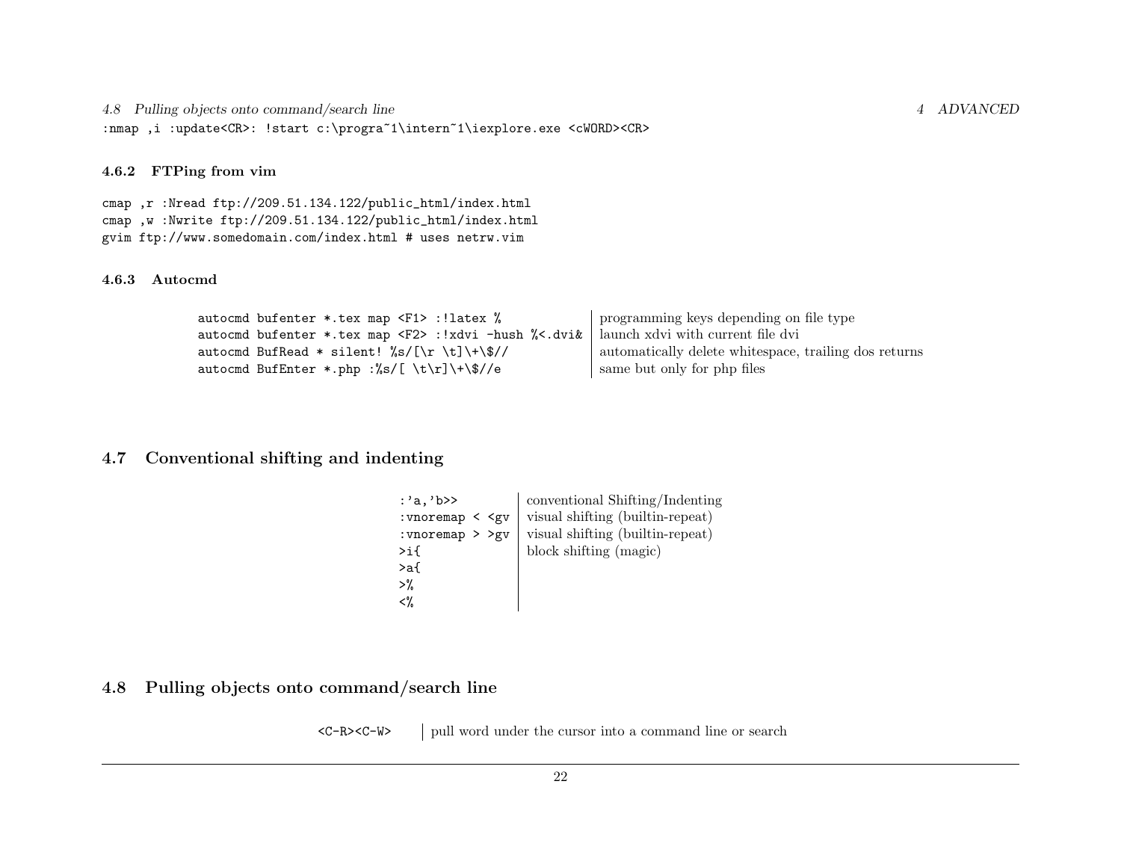4.8 Pulling objects onto command/search line 4 ADVANCED 4 ADVANCED :nmap ,i :update<CR>: !start c:\progra~1\intern~1\iexplore.exe <cWORD><CR>

<span id="page-21-0"></span>4.6.2 FTPing from vim

cmap ,r :Nread ftp://209.51.134.122/public\_html/index.html cmap ,w :Nwrite ftp://209.51.134.122/public\_html/index.html gvim ftp://www.somedomain.com/index.html # uses netrw.vim

#### <span id="page-21-1"></span>4.6.3 Autocmd

| autocmd bufenter *.tex map <f1> :!latex %</f1>                                                  | programming keys depending on file type               |
|-------------------------------------------------------------------------------------------------|-------------------------------------------------------|
| autocmd bufenter *.tex map <f2> :!xdvi -hush %&lt;.dvi   launch xdvi with current file dvi</f2> |                                                       |
| autocmd BufRead * silent! $\sqrt{s}/[\r \ t]/+\$                                                | automatically delete whitespace, trailing dos returns |
| autocmd BufEnter *.php :%s/[\t\r]\+\\$//e                                                       | same but only for php files                           |

## <span id="page-21-2"></span>4.7 Conventional shifting and indenting

| : a, 'b>>                            | conventional Shifting/Indenting  |
|--------------------------------------|----------------------------------|
| : vnoremap $\langle \langle \rangle$ | visual shifting (builtin-repeat) |
| : $vnormap > \gamma g v$             | visual shifting (builtin-repeat) |
| >i{                                  | block shifting (magic)           |
| >aſ                                  |                                  |
| $>\!\!^\circ$                        |                                  |
| $<\frac{9}{6}$                       |                                  |

## <span id="page-21-3"></span>4.8 Pulling objects onto command/search line

 $\langle C-R\rangle \langle C-W\rangle$  | pull word under the cursor into a command line or search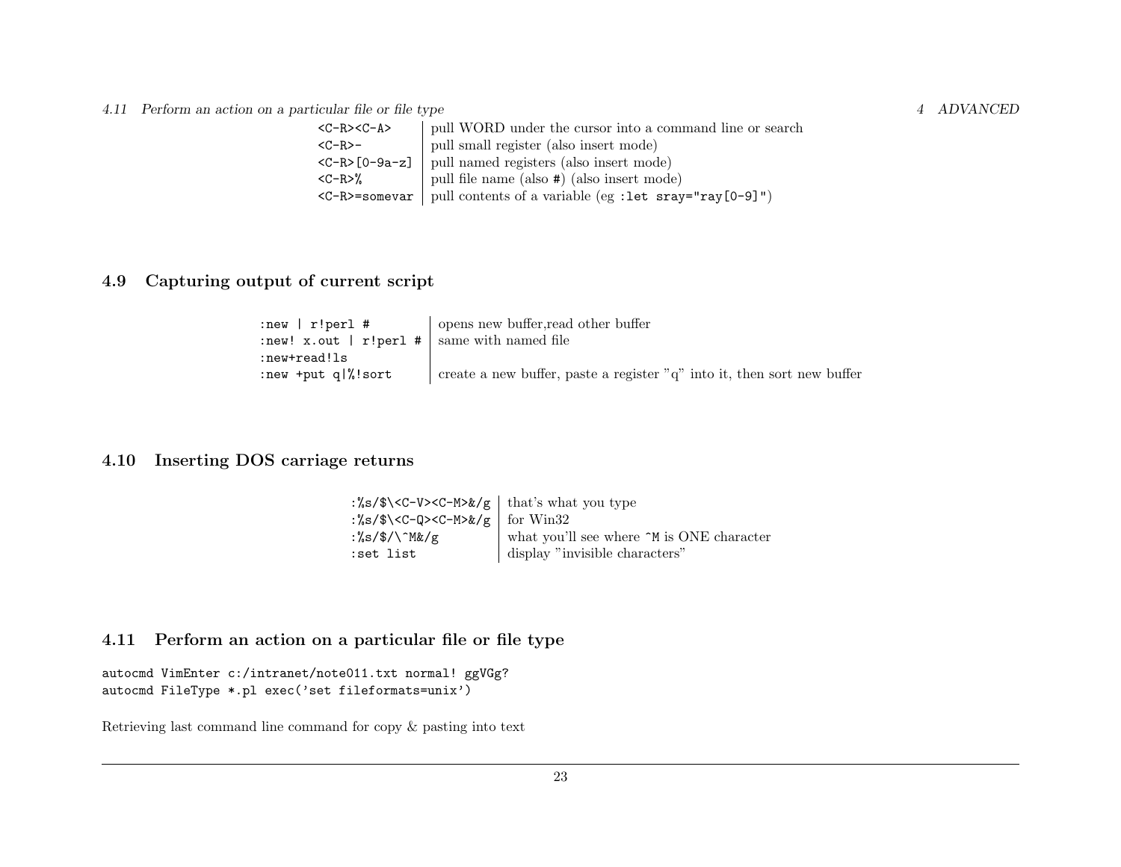4.11 Perform an action on a particular file or file type 4 ADVANCED

| $<$ C-R> $<$ C-A>    | pull WORD under the cursor into a command line or search  |
|----------------------|-----------------------------------------------------------|
| $<$ C-R $>$ -        | pull small register (also insert mode)                    |
| $<$ C-R> $[0-9a-z]$  | pull named registers (also insert mode)                   |
| $<$ C-R>%            | pull file name (also #) (also insert mode)                |
| $<$ C-R $>$ =somevar | pull contents of a variable (eg : let $sray="ray[0-9]$ ") |

## <span id="page-22-0"></span>4.9 Capturing output of current script

| :new $\vert$ r!perl #                            | opens new buffer, read other buffer                                         |
|--------------------------------------------------|-----------------------------------------------------------------------------|
| :new! x.out   $r!$ perl #   same with named file |                                                                             |
| new+read!ls:                                     |                                                                             |
| :new +put $q\frac{1}{2}$ !sort                   | create a new buffer, paste a register " $q$ " into it, then sort new buffer |

## <span id="page-22-1"></span>4.10 Inserting DOS carriage returns

| : $\frac{1}{2}$ s/\$\ <c-v><c-m>&amp;/g   that's what you type</c-m></c-v> |                                                                         |
|----------------------------------------------------------------------------|-------------------------------------------------------------------------|
| : $\frac{\%s}{\% \cc - Q}$ < C-M > $\frac{k}{g}$   for Win 32              |                                                                         |
| :%s/\$/\^M&/g                                                              | $\vert$ what you'll see where $\hat{\hspace{0.1cm}}$ M is ONE character |
| set list:                                                                  | $\vert$ display "invisible characters"                                  |

## <span id="page-22-2"></span>4.11 Perform an action on a particular file or file type

autocmd VimEnter c:/intranet/note011.txt normal! ggVGg? autocmd FileType \*.pl exec('set fileformats=unix')

Retrieving last command line command for copy & pasting into text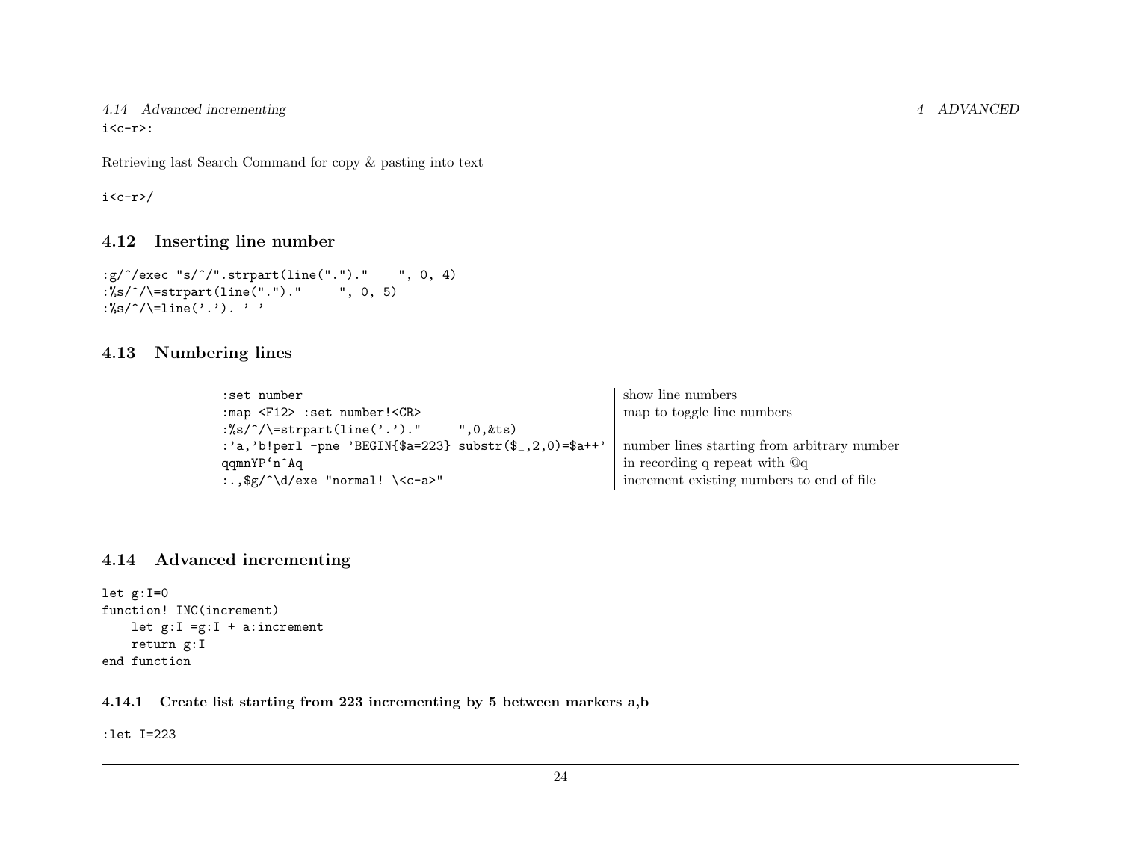4.14 Advanced incrementing 4 ADVANCED 4 ADVANCED i<c-r>:

Retrieving last Search Command for copy & pasting into text

i<c-r>/

### <span id="page-23-0"></span>4.12 Inserting line number

```
:g/\degree/exec "s/\degree/".strpart(line(".")." ", 0, 4)
:%s/^/\=strpart(line(".")." ", 0, 5)
:%s/^/\=line('.'). ' '
```
## <span id="page-23-1"></span>4.13 Numbering lines

| :set number                                                                             | show line numbers                           |
|-----------------------------------------------------------------------------------------|---------------------------------------------|
| :map <f12> :set number!<cr></cr></f12>                                                  | map to toggle line numbers                  |
| : $\frac{\sqrt{3}}{5}$ / $\degree$ / $\degree$ = strpart (line ('.')."<br>$", 0, \&ts)$ |                                             |
| :'a,'b!perl -pne 'BEGIN{\$a=223} substr(\$_,2,0)=\$a++'                                 | number lines starting from arbitrary number |
| qqmnYP'n^Aq                                                                             | in recording q repeat with $\mathbb{Q}_q$   |
| :., $g/\hat{d}/ex$ e "normal! \ <c-a>"</c-a>                                            | increment existing numbers to end of file   |

### <span id="page-23-2"></span>4.14 Advanced incrementing

```
let g:I=0
function! INC(increment)
    let g:I = g:I + a:incrementreturn g:I
end function
```
<span id="page-23-3"></span>4.14.1 Create list starting from 223 incrementing by 5 between markers a,b

:let I=223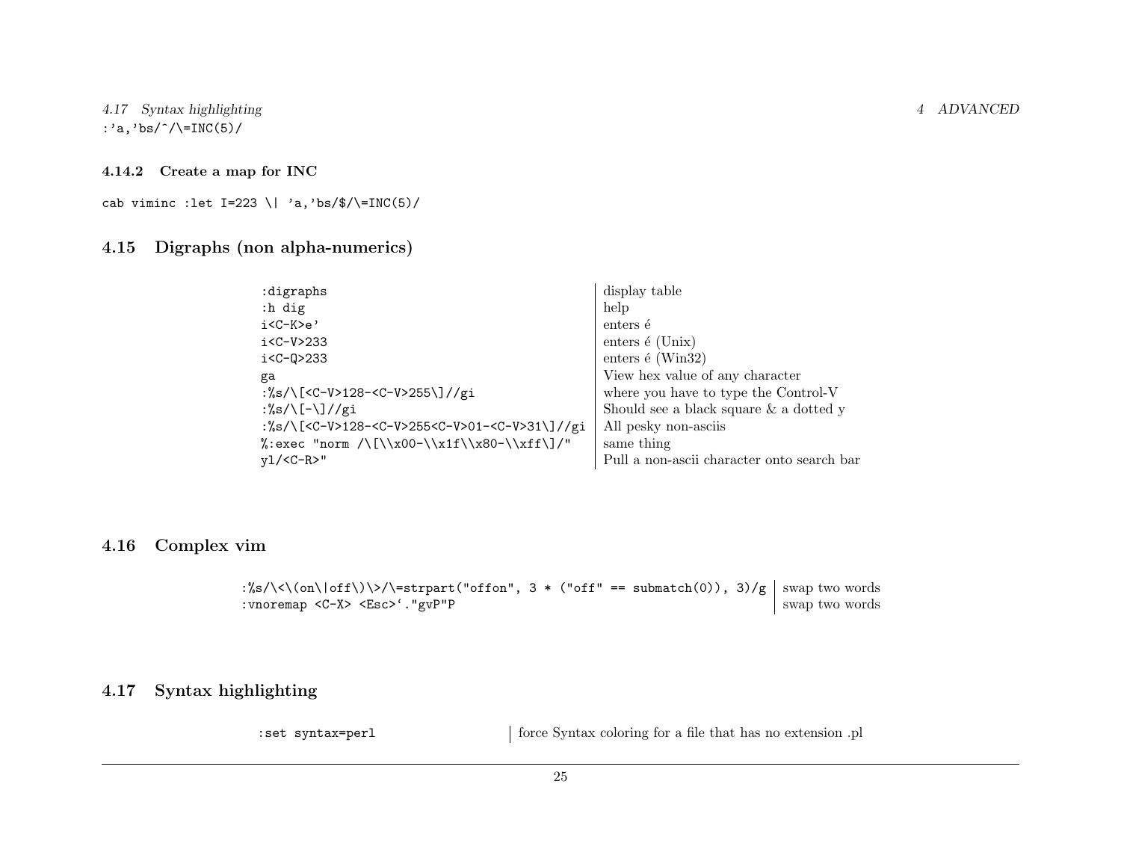4.17 Syntax highlighting 4 ADVANCED :'a,'bs/ $\hat{\ }$ /\=INC(5)/

#### <span id="page-24-0"></span>4.14.2 Create a map for INC

cab viminc :let I=223 \| 'a,'bs/\$/\=INC(5)/

## <span id="page-24-1"></span>4.15 Digraphs (non alpha-numerics)

| :digraphs<br>:h dig<br>i <c-k>e'<br/>i<c-v>233<br/>i<c-q>233<br/>ga<br/>:%s/\[<c-v>128-<c-v>255\]//gi</c-v></c-v></c-q></c-v></c-k> | display table<br>help<br>enters é<br>enters é $(\text{Unix})$<br>enters $\acute{\rm e}$ (Win32)<br>View hex value of any character<br>where you have to type the Control-V |
|-------------------------------------------------------------------------------------------------------------------------------------|----------------------------------------------------------------------------------------------------------------------------------------------------------------------------|
|                                                                                                                                     |                                                                                                                                                                            |
|                                                                                                                                     |                                                                                                                                                                            |
|                                                                                                                                     |                                                                                                                                                                            |
|                                                                                                                                     |                                                                                                                                                                            |
| :%s/\[-\]//gi                                                                                                                       | Should see a black square $\&$ a dotted y                                                                                                                                  |
| :%s/\[ <c-v>128-<c-v>255<c-v>01-<c-v>31\]//gi</c-v></c-v></c-v></c-v>                                                               | All pesky non-asciis                                                                                                                                                       |
| %:exec "norm /\[\\x00-\\x1f\\x80-\\xff\]/"                                                                                          | same thing                                                                                                                                                                 |
| $y1/\langle C-R\rangle$ "                                                                                                           | Pull a non-ascii character onto search bar                                                                                                                                 |

## <span id="page-24-2"></span>4.16 Complex vim

```
:%s/\<\(on\|off\)\>/\=strpart("offon", 3 * ("off" == submatch(0)), 3)/g | swap two words
: vnoremap <C-X> <Esc>'. "gvP"P swap two words
```
## <span id="page-24-3"></span>4.17 Syntax highlighting

:set syntax=perl force Syntax coloring for a file that has no extension .pl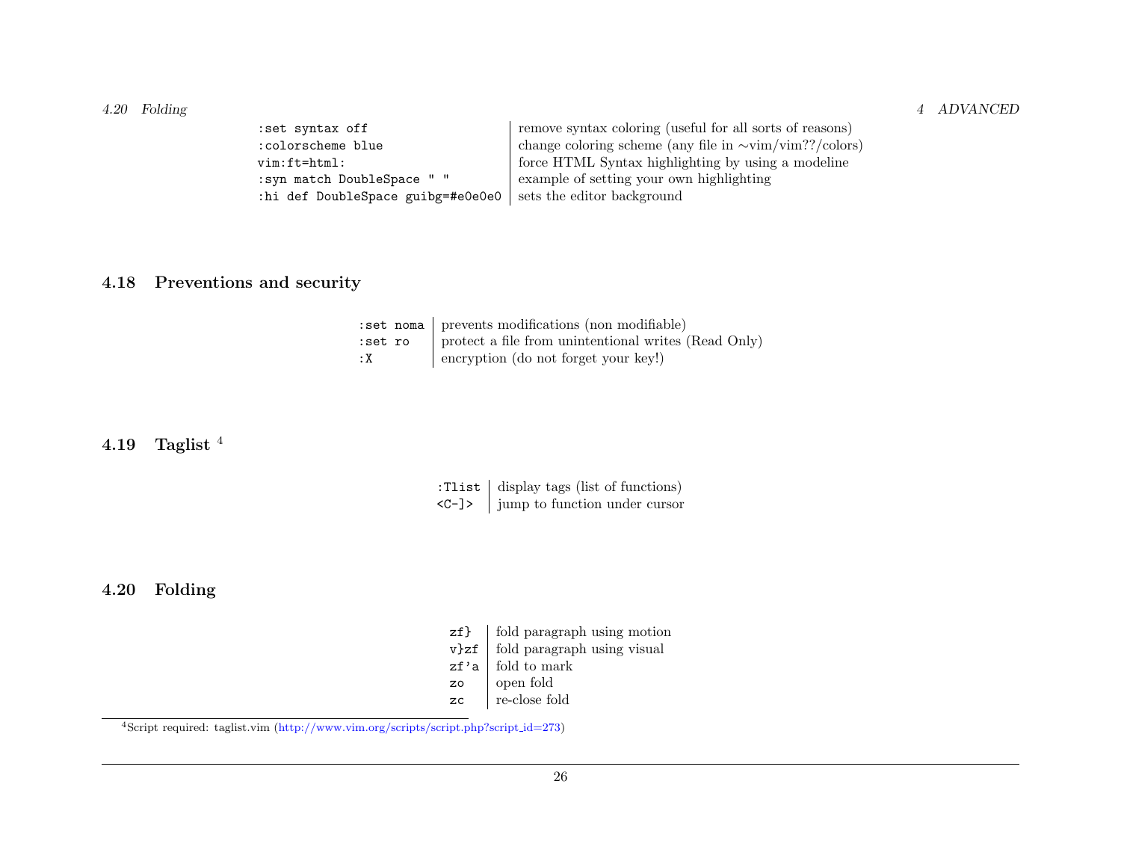#### 4.20 Folding 4 ADVANCED

| :set syntax off                                                       | remove syntax coloring (useful for all sorts of reasons)     |
|-----------------------------------------------------------------------|--------------------------------------------------------------|
| :colorscheme blue                                                     | change coloring scheme (any file in $\sim$ vim/vim??/colors) |
| vim:ft=html:                                                          | force HTML Syntax highlighting by using a modeline           |
| : syn match DoubleSpace " "                                           | example of setting your own highlighting                     |
| : hi def DoubleSpace guibg=#e0e0e0 $\vert$ sets the editor background |                                                              |

## <span id="page-25-0"></span>4.18 Preventions and security

|             | : set noma   prevents modifications (non modifiable)             |
|-------------|------------------------------------------------------------------|
| :set ro     | $\parallel$ protect a file from unintentional writes (Read Only) |
| $\cdot$ : X | encryption (do not forget your key!)                             |

## <span id="page-25-1"></span>[4](#page-25-3).19 Taglist  $4$

| : This $\vert$ display tags (list of functions)       |
|-------------------------------------------------------|
| $\langle C-$ ]> $\vert$ jump to function under cursor |

## <span id="page-25-2"></span>4.20 Folding

- $z$ f}  $\left| \right|$  fold paragraph using motion<br>v}zf  $\left| \right|$  fold paragraph using visual
- fold paragraph using visual
- $zf'a$  fold to mark
- $\mathsf{z}\circ\ \mid$  open fold
- $z_c$   $re$ -close fold

<span id="page-25-3"></span><sup>4</sup>Script required: taglist.vim [\(http://www.vim.org/scripts/script.php?script](http://www.vim.org/scripts/script.php?script_id=273) id=273)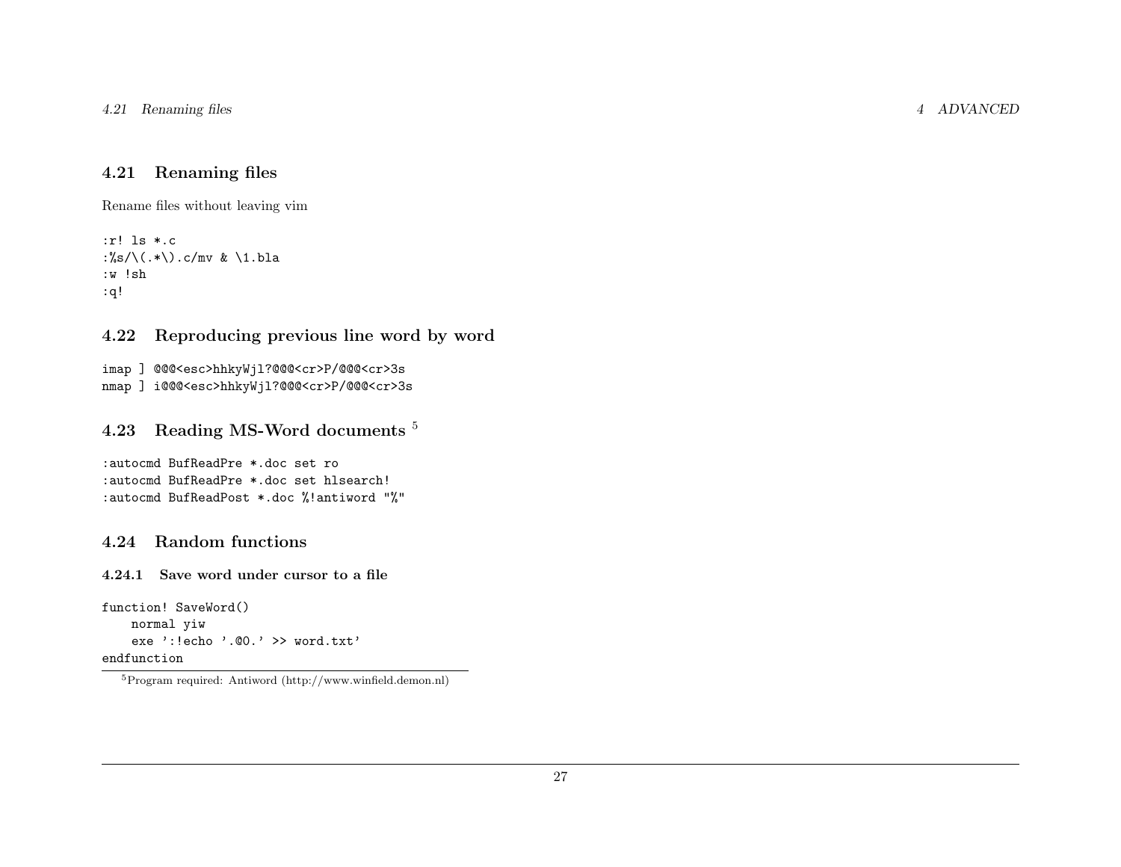4.21 Renaming files 4 ADVANCED 4 ADVANCED

## <span id="page-26-0"></span>4.21 Renaming files

Rename files without leaving vim

:r! ls \*.c :%s/\ $(.*)$ .c/mv & \1.bla :w !sh :q!

<span id="page-26-1"></span>4.22 Reproducing previous line word by word

imap ] @@@<esc>hhkyWjl?@@@<cr>P/@@@<cr>3s nmap ] i@@@<esc>hhkyWjl?@@@<cr>P/@@@<cr>3s

<span id="page-26-2"></span>4.23 Reading MS-Word documents [5](#page-26-5)

```
:autocmd BufReadPre *.doc set ro
:autocmd BufReadPre *.doc set hlsearch!
:autocmd BufReadPost *.doc %!antiword "%"
```
## <span id="page-26-3"></span>4.24 Random functions

<span id="page-26-4"></span>4.24.1 Save word under cursor to a file

```
function! SaveWord()
    normal yiw
    exe ':!echo '.00.' >> word.txt'
endfunction
```
<span id="page-26-5"></span><sup>5</sup>Program required: Antiword (http://www.winfield.demon.nl)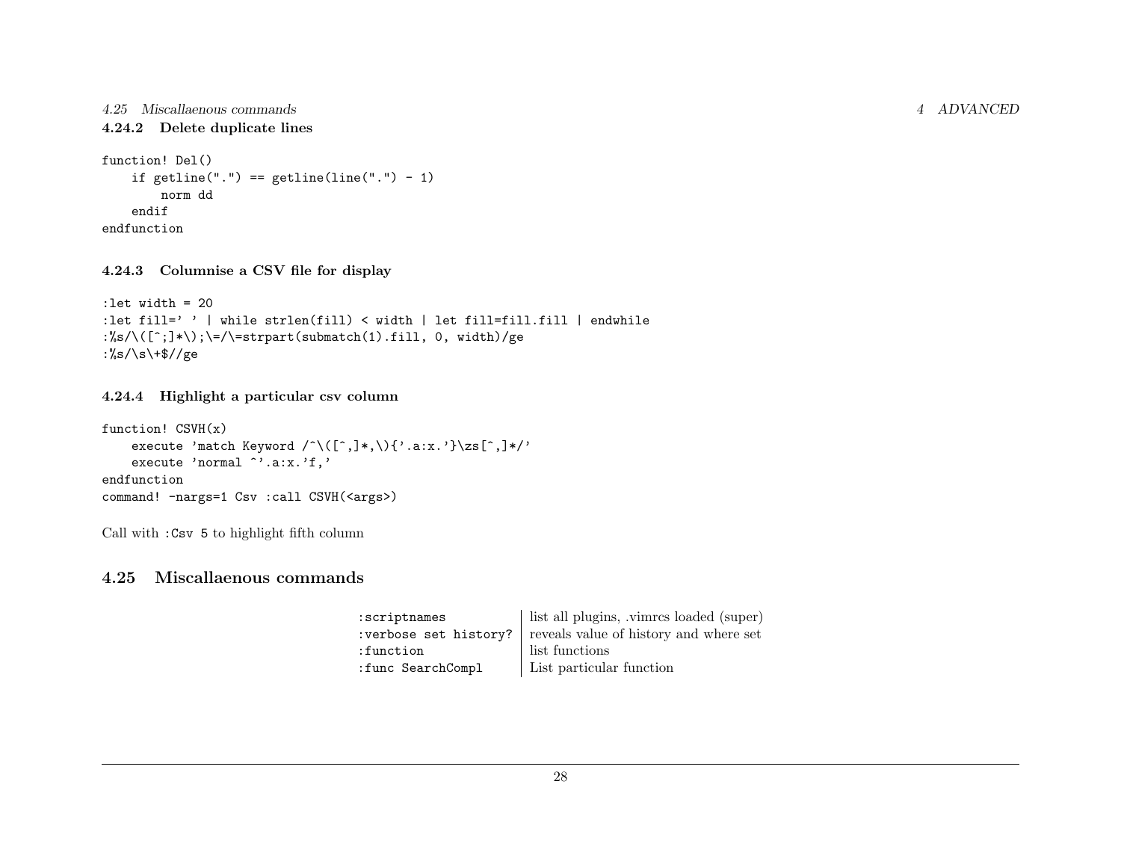4.25 Miscallaenous commands 4 ADVANCED

#### <span id="page-27-0"></span>4.24.2 Delete duplicate lines

```
function! Del()
   if getline(".") == getline(line(".") - 1)
        norm dd
    endif
endfunction
```
<span id="page-27-1"></span>4.24.3 Columnise a CSV file for display

```
:let width = 20
:let fill=' ' | while strlen(fill) < width | let fill=fill.fill | endwhile
:%s/\([^{\cdot};]*\);\=/\=strpart(submatch(1).fill, 0, width)/ge
:%s/\s\+$//ge
```
<span id="page-27-2"></span>4.24.4 Highlight a particular csv column

```
function! CSVH(x)
    execute 'match Keyword /\hat{(\cdot,]}*,\i\;{'.a:x.'}\x [^,]*/'
    execute 'normal ^'.a:x.'f,'
endfunction
command! -nargs=1 Csv :call CSVH(<args>)
```
Call with :Csv 5 to highlight fifth column

## <span id="page-27-3"></span>4.25 Miscallaenous commands

| :scriptnames      | list all plugins, vimrcs loaded (super)                        |
|-------------------|----------------------------------------------------------------|
|                   | :verbose set history?   reveals value of history and where set |
| :function         | list functions                                                 |
| :func SearchCompl | List particular function                                       |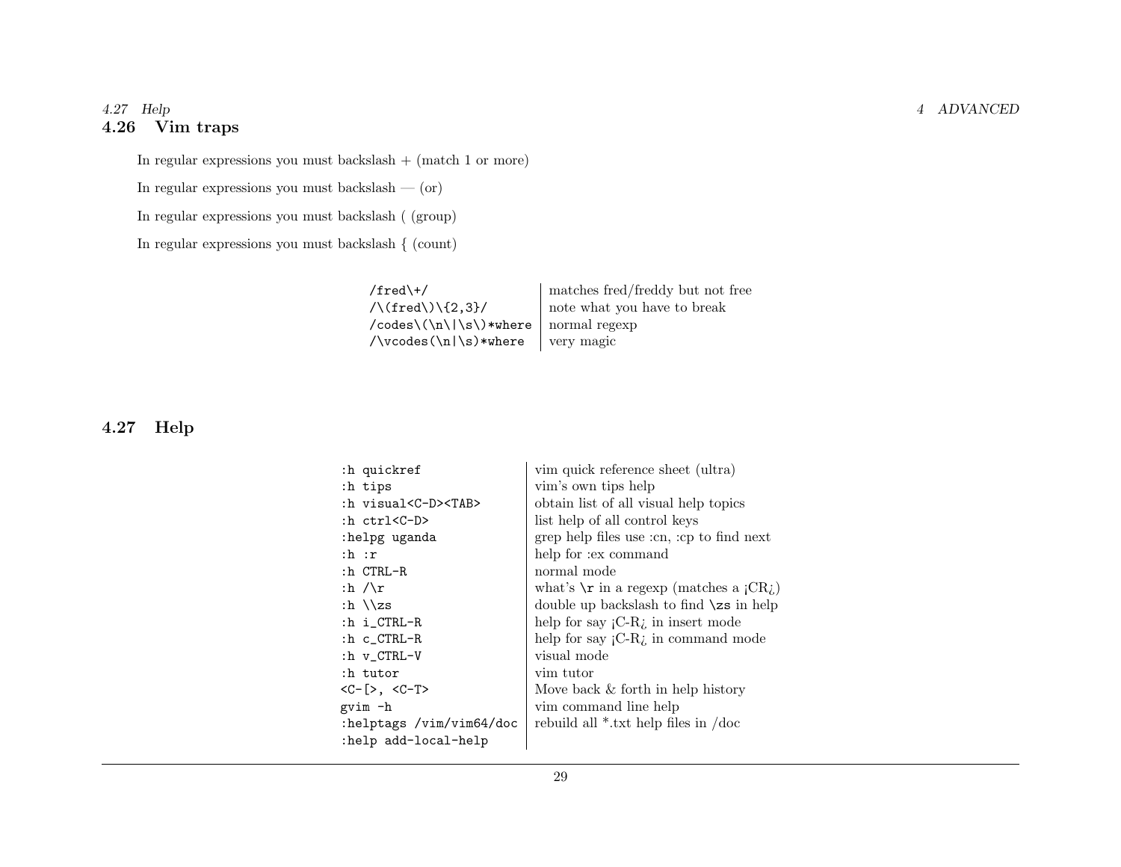#### <span id="page-28-0"></span>4.27 Help 4. ADVANCED 4. ADVANCED 4. ADVANCED 4. ADVANCED 4. ADVANCED 4. ADVANCED 4.26 Vim traps

In regular expressions you must backslash  $+$  (match 1 or more)

In regular expressions you must backslash  $-$  (or)

In regular expressions you must backslash ( (group)

In regular expressions you must backslash { (count)

 $/\text{fred}\+\text{/}$ <br>  $/\text{fred}\right\/\text{2,3}/$  matches fred/freddy but not free<br>
note what you have to break  $\,$  note what you have to break normal regexp  $\}/\text{codes}\(\n\|\s\|)\*where$  normal rege<br> $\|\text{cos}\(\n\|s)\*where$  very magic  $/\varepsilon(\n\cdot \sin \sin \theta)$ 

#### <span id="page-28-1"></span>4.27 Help

| :h quickref                      | vim quick reference sheet (ultra)                    |
|----------------------------------|------------------------------------------------------|
| :h tips                          | vim's own tips help                                  |
| :h visual <c-d><tab></tab></c-d> | obtain list of all visual help topics                |
| :h ctrl <c-d></c-d>              | list help of all control keys                        |
| :helpg uganda                    | grep help files use :cn, :cp to find next            |
| : h : r                          | help for :ex command                                 |
| $: h$ $CTRL-R$                   | normal mode                                          |
| :h $/\rceil$                     | what's $\mathbf{r}$ in a regexp (matches a $iCR_i$ ) |
| :h $\lvert \mathcal{L} \rvert$   | double up backslash to find $\zeta$ in help          |
| :h i_CTRL-R                      | help for say $iC-R\lambda$ in insert mode            |
| $: h \text{ c_CTRL-R}$           | help for say $iC-R$ ; in command mode                |
| :h v_CTRL-V                      | visual mode                                          |
| h tutor:                         | vim tutor                                            |
| <c-[>, <c-t></c-t></c-[>         | Move back $&$ forth in help history                  |
| gvim -h                          | vim command line help                                |
| :helptags /vim/vim64/doc         | rebuild all $*$ txt help files in /doc               |
| :help add-local-help             |                                                      |
|                                  |                                                      |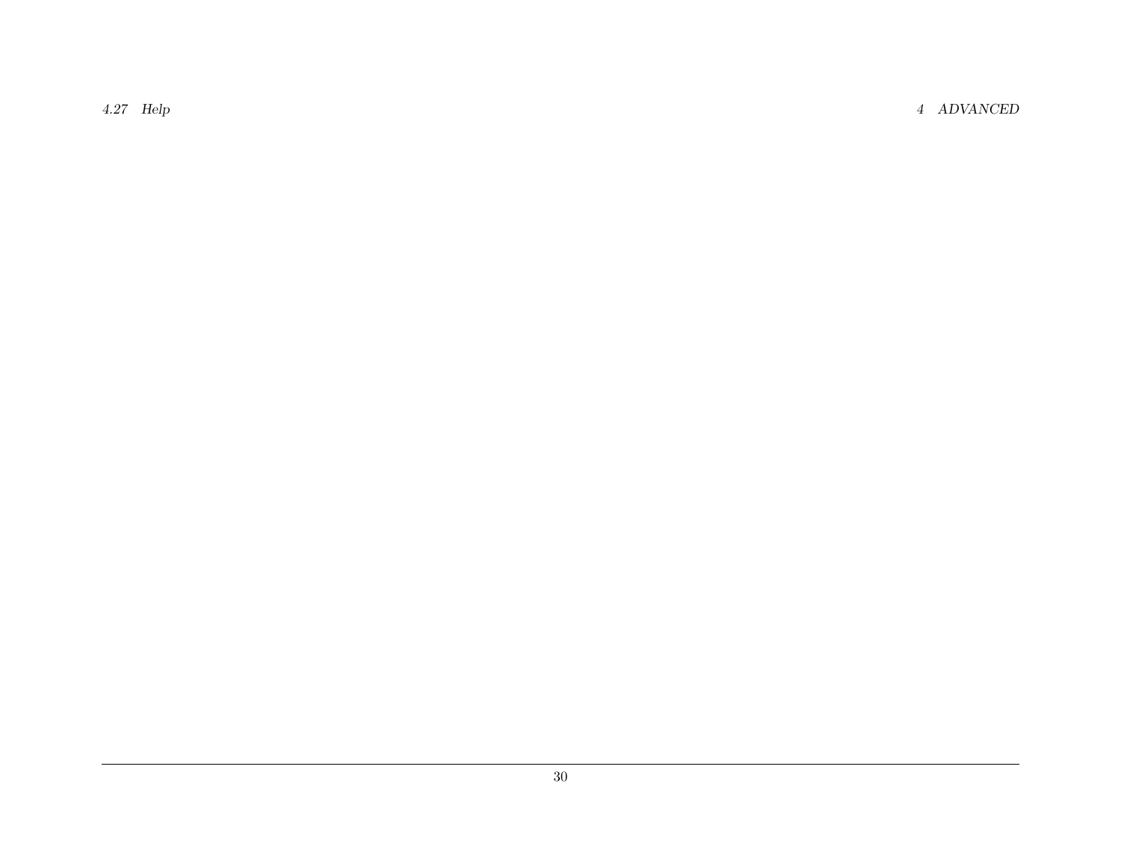4.27 Help 4 ADVANCED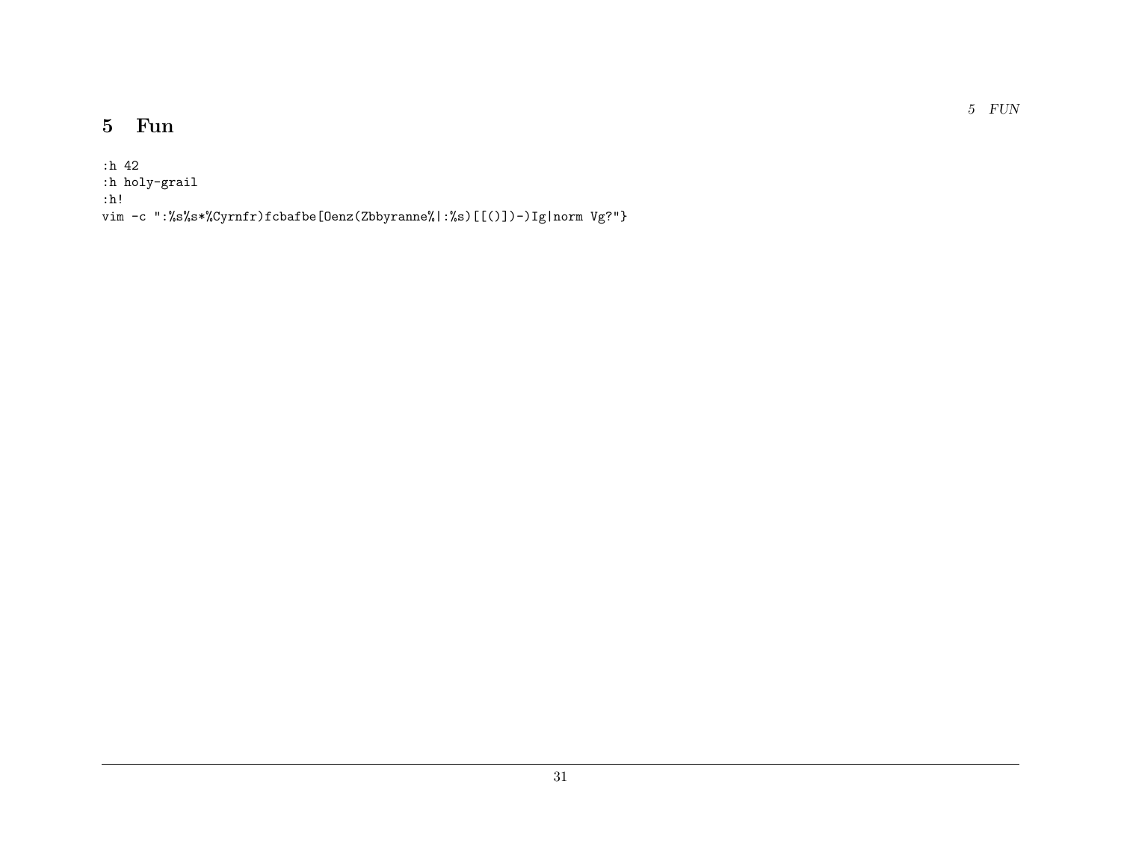# <span id="page-30-0"></span>5 Fun

:h 42 :h holy-grail :h! vim -c ":%s%s\*%Cyrnfr)fcbafbe[0enz(Zbbyranne%|:%s)[[()])-)Ig|norm Vg?"}